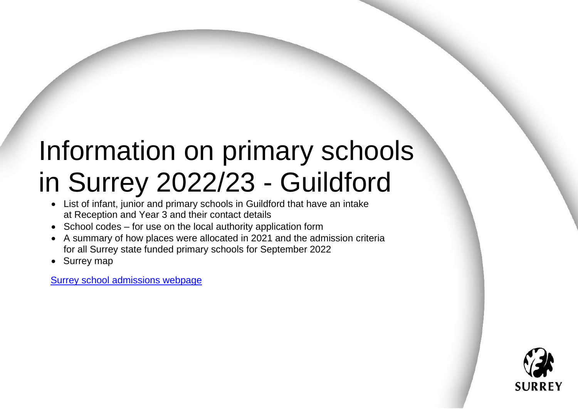# Information on primary schools in Surrey 2022/23 - Guildford

- List of infant, junior and primary schools in Guildford that have an intake at Reception and Year 3 and their contact details
- School codes for use on the local authority application form
- A summary of how places were allocated in 2021 and the admission criteria for all Surrey state funded primary schools for September 2022
- Surrey map

[Surrey school admissions webpage](https://www.surreycc.gov.uk/schools-and-learning/schools/admissions)

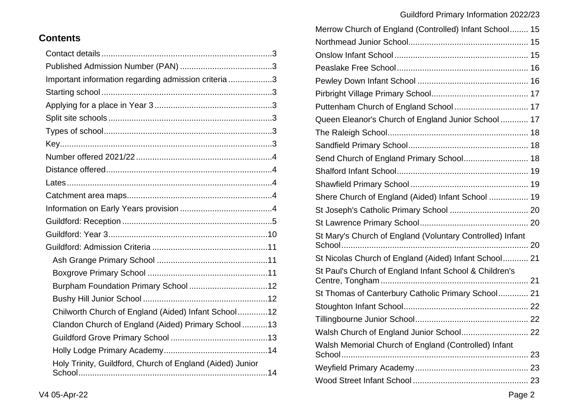| <b>Contents</b> |
|-----------------|
|-----------------|

| Important information regarding admission criteria 3      |  |
|-----------------------------------------------------------|--|
|                                                           |  |
|                                                           |  |
|                                                           |  |
|                                                           |  |
|                                                           |  |
|                                                           |  |
|                                                           |  |
|                                                           |  |
|                                                           |  |
|                                                           |  |
|                                                           |  |
|                                                           |  |
|                                                           |  |
|                                                           |  |
|                                                           |  |
|                                                           |  |
|                                                           |  |
| Chilworth Church of England (Aided) Infant School12       |  |
| Clandon Church of England (Aided) Primary School  13      |  |
|                                                           |  |
|                                                           |  |
| Holy Trinity, Guildford, Church of England (Aided) Junior |  |

| Merrow Church of England (Controlled) Infant School 15    |    |
|-----------------------------------------------------------|----|
|                                                           |    |
|                                                           |    |
|                                                           |    |
|                                                           |    |
|                                                           |    |
| Puttenham Church of England School 17                     |    |
| Queen Eleanor's Church of England Junior School  17       |    |
|                                                           |    |
|                                                           |    |
| Send Church of England Primary School 18                  |    |
|                                                           |    |
|                                                           |    |
| Shere Church of England (Aided) Infant School  19         |    |
|                                                           |    |
|                                                           |    |
| St Mary's Church of England (Voluntary Controlled) Infant |    |
| St Nicolas Church of England (Aided) Infant School 21     |    |
| St Paul's Church of England Infant School & Children's    |    |
| St Thomas of Canterbury Catholic Primary School 21        |    |
|                                                           |    |
|                                                           |    |
| Walsh Church of England Junior School                     | 22 |
| Walsh Memorial Church of England (Controlled) Infant      |    |
|                                                           |    |
|                                                           |    |
|                                                           |    |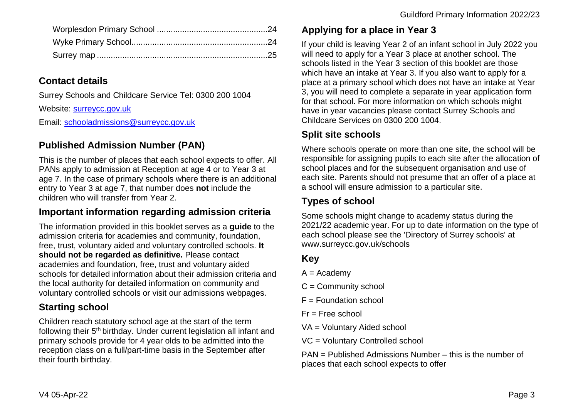# <span id="page-2-0"></span>**Contact details**

Surrey Schools and Childcare Service Tel: 0300 200 1004

Website: [surreycc.gov.uk](https://www.surreycc.gov.uk/)

Email: [schooladmissions@surreycc.gov.uk](mailto:schooladmissions@surreycc.gov.uk)

# <span id="page-2-1"></span>**Published Admission Number (PAN)**

This is the number of places that each school expects to offer. All PANs apply to admission at Reception at age 4 or to Year 3 at age 7. In the case of primary schools where there is an additional entry to Year 3 at age 7, that number does **not** include the children who will transfer from Year 2.

# <span id="page-2-2"></span>**Important information regarding admission criteria**

The information provided in this booklet serves as a **guide** to the admission criteria for academies and community, foundation, free, trust, voluntary aided and voluntary controlled schools. **It should not be regarded as definitive.** Please contact academies and foundation, free, trust and voluntary aided schools for detailed information about their admission criteria and the local authority for detailed information on community and voluntary controlled schools or visit our admissions webpages.

# <span id="page-2-3"></span>**Starting school**

Children reach statutory school age at the start of the term following their 5<sup>th</sup> birthday. Under current legislation all infant and primary schools provide for 4 year olds to be admitted into the reception class on a full/part-time basis in the September after their fourth birthday.

# <span id="page-2-4"></span>**Applying for a place in Year 3**

If your child is leaving Year 2 of an infant school in July 2022 you will need to apply for a Year 3 place at another school. The schools listed in the Year 3 section of this booklet are those which have an intake at Year 3. If you also want to apply for a place at a primary school which does not have an intake at Year 3, you will need to complete a separate in year application form for that school. For more information on which schools might have in year vacancies please contact Surrey Schools and Childcare Services on 0300 200 1004.

# <span id="page-2-5"></span>**Split site schools**

Where schools operate on more than one site, the school will be responsible for assigning pupils to each site after the allocation of school places and for the subsequent organisation and use of each site. Parents should not presume that an offer of a place at a school will ensure admission to a particular site.

# <span id="page-2-6"></span>**Types of school**

Some schools might change to academy status during the 2021/22 academic year. For up to date information on the type of each school please see the 'Directory of Surrey schools' at www.surreycc.gov.uk/schools

# <span id="page-2-7"></span>**Key**

- $A =$  Academy
- C = Community school
- $F =$  Foundation school
- $Fr =$  Free school
- VA = Voluntary Aided school
- VC = Voluntary Controlled school

PAN = Published Admissions Number – this is the number of places that each school expects to offer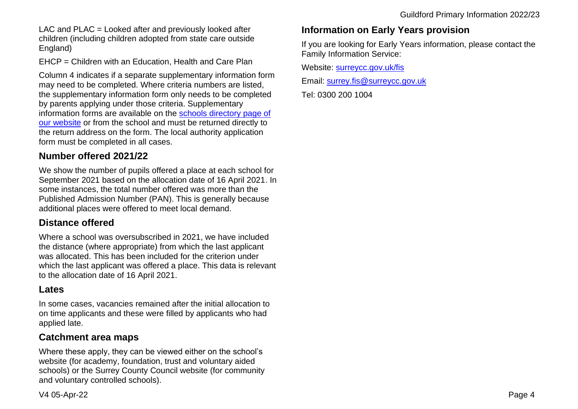LAC and PLAC = Looked after and previously looked after children (including children adopted from state care outside England)

EHCP = Children with an Education, Health and Care Plan

Column 4 indicates if a separate supplementary information form may need to be completed. Where criteria numbers are listed, the supplementary information form only needs to be completed by parents applying under those criteria. Supplementary information forms are available on the [schools directory page of](https://www.surreycc.gov.uk/schools-and-learning/schools/directory)  [our website](https://www.surreycc.gov.uk/schools-and-learning/schools/directory) or from the school and must be returned directly to the return address on the form. The local authority application form must be completed in all cases.

## <span id="page-3-0"></span>**Number offered 2021/22**

We show the number of pupils offered a place at each school for September 2021 based on the allocation date of 16 April 2021. In some instances, the total number offered was more than the Published Admission Number (PAN). This is generally because additional places were offered to meet local demand.

## <span id="page-3-1"></span>**Distance offered**

Where a school was oversubscribed in 2021, we have included the distance (where appropriate) from which the last applicant was allocated. This has been included for the criterion under which the last applicant was offered a place. This data is relevant to the allocation date of 16 April 2021.

## <span id="page-3-2"></span>**Lates**

In some cases, vacancies remained after the initial allocation to on time applicants and these were filled by applicants who had applied late.

## <span id="page-3-3"></span>**Catchment area maps**

Where these apply, they can be viewed either on the school's website (for academy, foundation, trust and voluntary aided schools) or the Surrey County Council website (for community and voluntary controlled schools).

## <span id="page-3-4"></span>**Information on Early Years provision**

If you are looking for Early Years information, please contact the Family Information Service:

Website: [surreycc.gov.uk/fis](https://www.surreycc.gov.uk/children/families)

Email: [surrey.fis@surreycc.gov.uk](mailto:surrey.fis@surreycc.gov.uk)

Tel: 0300 200 1004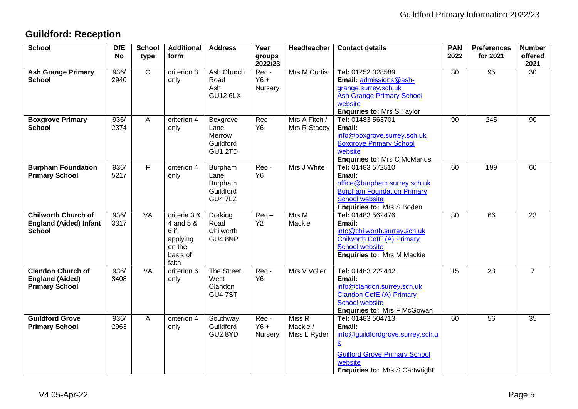# <span id="page-4-0"></span>**Guildford: Reception**

| <b>School</b>                                                                | <b>DfE</b><br><b>No</b> | <b>School</b><br>type | <b>Additional</b><br>form                                                    | <b>Address</b>                                     | Year<br>groups<br>2022/23 | Headteacher                        | <b>Contact details</b>                                                                                                                                                         | <b>PAN</b><br>2022 | <b>Preferences</b><br>for 2021 | <b>Number</b><br>offered<br>2021 |
|------------------------------------------------------------------------------|-------------------------|-----------------------|------------------------------------------------------------------------------|----------------------------------------------------|---------------------------|------------------------------------|--------------------------------------------------------------------------------------------------------------------------------------------------------------------------------|--------------------|--------------------------------|----------------------------------|
| <b>Ash Grange Primary</b><br><b>School</b>                                   | 936/<br>2940            | $\overline{C}$        | criterion 3<br>only                                                          | Ash Church<br>Road<br>Ash<br><b>GU12 6LX</b>       | Rec-<br>$Y6 +$<br>Nursery | <b>Mrs M Curtis</b>                | Tel: 01252 328589<br>Email: admissions@ash-<br>grange.surrey.sch.uk<br><b>Ash Grange Primary School</b><br>website<br><b>Enquiries to: Mrs S Taylor</b>                        | 30                 | 95                             | 30                               |
| <b>Boxgrove Primary</b><br><b>School</b>                                     | 936/<br>2374            | A                     | criterion 4<br>only                                                          | Boxgrove<br>Lane<br>Merrow<br>Guildford<br>GU1 2TD | Rec-<br>Y6                | Mrs A Fitch /<br>Mrs R Stacey      | Tel: 01483 563701<br>Email:<br>info@boxgrove.surrey.sch.uk<br><b>Boxgrove Primary School</b><br>website<br><b>Enquiries to: Mrs C McManus</b>                                  | 90                 | 245                            | 90                               |
| <b>Burpham Foundation</b><br><b>Primary School</b>                           | 936/<br>5217            | F                     | criterion 4<br>only                                                          | Burpham<br>Lane<br>Burpham<br>Guildford<br>GU4 7LZ | Rec-<br>Y <sub>6</sub>    | Mrs J White                        | Tel: 01483 572510<br>Email:<br>office@burpham.surrey.sch.uk<br><b>Burpham Foundation Primary</b><br><b>School website</b><br><b>Enquiries to: Mrs S Boden</b>                  | 60                 | 199                            | 60                               |
| <b>Chilworth Church of</b><br><b>England (Aided) Infant</b><br><b>School</b> | 936/<br>3317            | <b>VA</b>             | criteria 3 &<br>4 and 5 &<br>6 if<br>applying<br>on the<br>basis of<br>faith | Dorking<br>Road<br>Chilworth<br>GU4 8NP            | $Rec -$<br><b>Y2</b>      | Mrs M<br>Mackie                    | Tel: 01483 562476<br>Email:<br>info@chilworth.surrey.sch.uk<br>Chilworth CofE (A) Primary<br><b>School website</b><br><b>Enquiries to: Mrs M Mackie</b>                        | 30                 | 66                             | 23                               |
| <b>Clandon Church of</b><br><b>England (Aided)</b><br><b>Primary School</b>  | 936/<br>3408            | <b>VA</b>             | criterion 6<br>only                                                          | The Street<br>West<br>Clandon<br><b>GU4 7ST</b>    | Rec-<br>Y6                | Mrs V Voller                       | Tel: 01483 222442<br>Email:<br>info@clandon.surrey.sch.uk<br>Clandon CofE (A) Primary<br>School website<br><b>Enquiries to: Mrs F McGowan</b>                                  | 15                 | 23                             | $\overline{7}$                   |
| <b>Guildford Grove</b><br><b>Primary School</b>                              | 936/<br>2963            | A                     | criterion 4<br>only                                                          | Southway<br>Guildford<br>GU2 8YD                   | Rec-<br>$Y6 +$<br>Nursery | Miss R<br>Mackie /<br>Miss L Ryder | Tel: 01483 504713<br>Email:<br>info@guildfordgrove.surrey.sch.u<br>$\underline{k}$<br><b>Guilford Grove Primary School</b><br>website<br><b>Enquiries to: Mrs S Cartwright</b> | 60                 | 56                             | 35                               |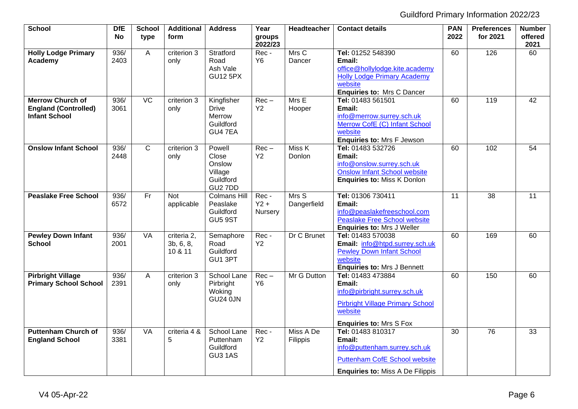| <b>School</b>                                                                  | <b>DfE</b><br><b>No</b> | <b>School</b><br>type | <b>Additional</b><br>form           | <b>Address</b>                                               | Year<br>groups            | Headteacher                           | <b>Contact details</b>                                                                                                                              | <b>PAN</b><br>2022 | <b>Preferences</b><br>for 2021 | <b>Number</b><br>offered |
|--------------------------------------------------------------------------------|-------------------------|-----------------------|-------------------------------------|--------------------------------------------------------------|---------------------------|---------------------------------------|-----------------------------------------------------------------------------------------------------------------------------------------------------|--------------------|--------------------------------|--------------------------|
|                                                                                |                         |                       |                                     |                                                              | 2022/23                   |                                       |                                                                                                                                                     |                    |                                | 2021                     |
| <b>Holly Lodge Primary</b><br>Academy                                          | 936/<br>2403            | A                     | criterion 3<br>only                 | Stratford<br>Road<br>Ash Vale<br><b>GU12 5PX</b>             | Rec-<br>Y6                | $\overline{\mathsf{Mrs}}$ C<br>Dancer | Tel: 01252 548390<br>Email:<br>office@hollylodge.kite.academy<br><b>Holly Lodge Primary Academy</b><br>website<br><b>Enquiries to: Mrs C Dancer</b> | 60                 | 126                            | 60                       |
| <b>Merrow Church of</b><br><b>England (Controlled)</b><br><b>Infant School</b> | 936/<br>3061            | VC                    | criterion 3<br>only                 | Kingfisher<br><b>Drive</b><br>Merrow<br>Guildford<br>GU4 7EA | $Rec -$<br>Y2             | Mrs E<br>Hooper                       | Tel: 01483 561501<br>Email:<br>info@merrow.surrey.sch.uk<br>Merrow CofE (C) Infant School<br>website<br>Enquiries to: Mrs F Jewson                  | 60                 | 119                            | 42                       |
| <b>Onslow Infant School</b>                                                    | 936/<br>2448            | $\mathsf{C}$          | criterion 3<br>only                 | Powell<br>Close<br>Onslow<br>Village<br>Guildford<br>GU2 7DD | $Rec -$<br><b>Y2</b>      | Miss K<br>Donlon                      | Tel: 01483 532726<br>Email:<br>info@onslow.surrey.sch.uk<br><b>Onslow Infant School website</b><br><b>Enquiries to: Miss K Donlon</b>               | 60                 | 102                            | 54                       |
| <b>Peaslake Free School</b>                                                    | 936/<br>6572            | Fr                    | <b>Not</b><br>applicable            | <b>Colmans Hill</b><br>Peaslake<br>Guildford<br>GU5 9ST      | Rec-<br>$Y2 +$<br>Nursery | Mrs S<br>Dangerfield                  | Tel: 01306 730411<br>Email:<br>info@peaslakefreeschool.com<br><b>Peaslake Free School website</b><br><b>Enquiries to: Mrs J Weller</b>              | $\overline{11}$    | $\overline{38}$                | $\overline{11}$          |
| <b>Pewley Down Infant</b><br><b>School</b>                                     | 936/<br>2001            | <b>VA</b>             | criteria 2,<br>3b, 6, 8,<br>10 & 11 | Semaphore<br>Road<br>Guildford<br>GU1 3PT                    | Rec-<br>Y2                | Dr C Brunet                           | Tel: 01483 570038<br>Email: info@htpd.surrey.sch.uk<br><b>Pewley Down Infant School</b><br>website<br><b>Enquiries to: Mrs J Bennett</b>            | 60                 | 169                            | 60                       |
| <b>Pirbright Village</b><br><b>Primary School School</b>                       | 936/<br>2391            | A                     | criterion 3<br>only                 | School Lane<br>Pirbright<br>Woking<br><b>GU24 0JN</b>        | $Rec -$<br>Y <sub>6</sub> | Mr G Dutton                           | Tel: 01483 473884<br>Email:<br>info@pirbright.surrey.sch.uk<br><b>Pirbright Village Primary School</b><br>website<br><b>Enquiries to: Mrs S Fox</b> | 60                 | 150                            | 60                       |
| <b>Puttenham Church of</b><br><b>England School</b>                            | 936/<br>3381            | <b>VA</b>             | criteria 4 &<br>5                   | School Lane<br>Puttenham<br>Guildford<br>GU3 1AS             | Rec-<br><b>Y2</b>         | Miss A De<br>Filippis                 | Tel: 01483 810317<br>Email:<br>info@puttenham.surrey.sch.uk<br><b>Puttenham CofE School website</b><br><b>Enquiries to: Miss A De Filippis</b>      | $\overline{30}$    | 76                             | 33                       |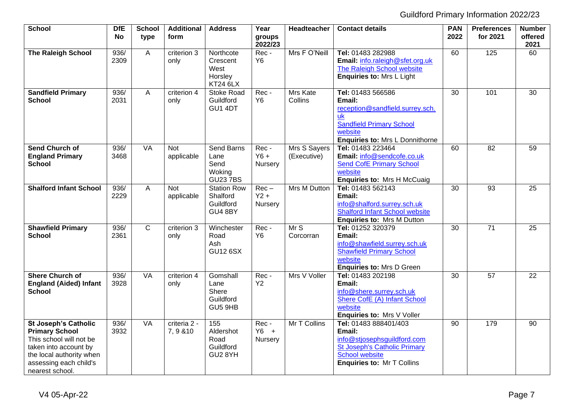| <b>School</b>                                                                                                                                                                     | <b>DfE</b><br><b>No</b> | <b>School</b><br>type | <b>Additional</b><br>form | <b>Address</b>                                         | Year<br>groups               | Headteacher                 | <b>Contact details</b>                                                                                                                                              | <b>PAN</b><br>2022 | <b>Preferences</b><br>for 2021 | <b>Number</b><br>offered |
|-----------------------------------------------------------------------------------------------------------------------------------------------------------------------------------|-------------------------|-----------------------|---------------------------|--------------------------------------------------------|------------------------------|-----------------------------|---------------------------------------------------------------------------------------------------------------------------------------------------------------------|--------------------|--------------------------------|--------------------------|
|                                                                                                                                                                                   |                         |                       |                           |                                                        | 2022/23                      |                             |                                                                                                                                                                     |                    |                                | 2021                     |
| <b>The Raleigh School</b>                                                                                                                                                         | 936/<br>2309            | A                     | criterion 3<br>only       | Northcote<br>Crescent<br>West<br>Horsley<br>KT24 6LX   | Rec-<br><b>Y6</b>            | Mrs F O'Neill               | Tel: 01483 282988<br>Email: info.raleigh@sfet.org.uk<br>The Raleigh School website<br><b>Enquiries to: Mrs L Light</b>                                              | 60                 | 125                            | 60                       |
| <b>Sandfield Primary</b><br><b>School</b>                                                                                                                                         | 936/<br>2031            | A                     | criterion 4<br>only       | <b>Stoke Road</b><br>Guildford<br>GU1 4DT              | Rec-<br><b>Y6</b>            | Mrs Kate<br>Collins         | Tel: 01483 566586<br>Email:<br>reception@sandfield.surrey.sch.<br>uk<br><b>Sandfield Primary School</b><br>website<br>Enquiries to: Mrs L Donnithorne               | 30                 | 101                            | 30                       |
| <b>Send Church of</b><br><b>England Primary</b><br><b>School</b>                                                                                                                  | 936/<br>3468            | <b>VA</b>             | Not<br>applicable         | Send Barns<br>Lane<br>Send<br>Woking<br><b>GU237BS</b> | Rec-<br>$Y6 +$<br>Nursery    | Mrs S Sayers<br>(Executive) | Tel: 01483 223464<br>Email: info@sendcofe.co.uk<br><b>Send CofE Primary School</b><br>website<br><b>Enquiries to: Mrs H McCuaig</b>                                 | 60                 | 82                             | 59                       |
| <b>Shalford Infant School</b>                                                                                                                                                     | 936/<br>2229            | $\overline{A}$        | <b>Not</b><br>applicable  | Station Row<br>Shalford<br>Guildford<br>GU4 8BY        | $Rec -$<br>$Y2 +$<br>Nursery | Mrs M Dutton                | Tel: 01483 562143<br>Email:<br>info@shalford.surrey.sch.uk<br><b>Shalford Infant School website</b><br><b>Enquiries to: Mrs M Dutton</b>                            | 30                 | 93                             | 25                       |
| <b>Shawfield Primary</b><br><b>School</b>                                                                                                                                         | 936/<br>2361            | $\mathsf{C}$          | criterion 3<br>only       | Winchester<br>Road<br>Ash<br><b>GU12 6SX</b>           | Rec-<br>Y6                   | MrS<br>Corcorran            | Tel: 01252 320379<br>Email:<br>info@shawfield.surrey.sch.uk<br><b>Shawfield Primary School</b><br>website<br><b>Enquiries to: Mrs D Green</b>                       | 30                 | $\overline{71}$                | 25                       |
| <b>Shere Church of</b><br><b>England (Aided) Infant</b><br><b>School</b>                                                                                                          | 936/<br>3928            | VA                    | criterion 4<br>only       | Gomshall<br>Lane<br>Shere<br>Guildford<br>GU5 9HB      | Rec-<br><b>Y2</b>            | Mrs V Voller                | Tel: 01483 202198<br>Email:<br>info@shere.surrey.sch.uk<br>Shere CofE (A) Infant School<br>website<br><b>Enquiries to: Mrs V Voller</b>                             | 30                 | 57                             | 22                       |
| <b>St Joseph's Catholic</b><br><b>Primary School</b><br>This school will not be<br>taken into account by<br>the local authority when<br>assessing each child's<br>nearest school. | 936/<br>3932            | <b>VA</b>             | criteria 2 -<br>7,9 & 10  | 155<br>Aldershot<br>Road<br>Guildford<br>GU2 8YH       | Rec-<br>$Y6 +$<br>Nursery    | Mr T Collins                | Tel: 01483 888401/403<br>Email:<br>info@stjosephsguildford.com<br><b>St Joseph's Catholic Primary</b><br><b>School website</b><br><b>Enquiries to: Mr T Collins</b> | $\overline{90}$    | 179                            | $\overline{90}$          |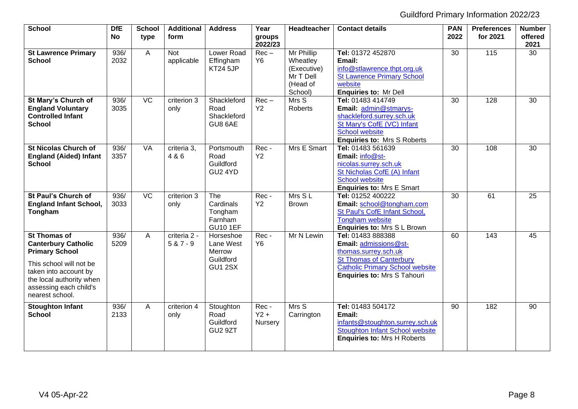| School                                                                                                                                                                                                  | <b>DfE</b><br>No | <b>School</b><br>type | <b>Additional</b><br>form   | <b>Address</b>                                                  | Year<br>groups<br>2022/23 | Headteacher                                                               | <b>Contact details</b>                                                                                                                                                               | <b>PAN</b><br>2022 | <b>Preferences</b><br>for 2021 | <b>Number</b><br>offered<br>2021 |
|---------------------------------------------------------------------------------------------------------------------------------------------------------------------------------------------------------|------------------|-----------------------|-----------------------------|-----------------------------------------------------------------|---------------------------|---------------------------------------------------------------------------|--------------------------------------------------------------------------------------------------------------------------------------------------------------------------------------|--------------------|--------------------------------|----------------------------------|
| <b>St Lawrence Primary</b><br><b>School</b>                                                                                                                                                             | 936/<br>2032     | A                     | <b>Not</b><br>applicable    | Lower Road<br>Effingham<br>KT24 5JP                             | $Rec -$<br>Y <sub>6</sub> | Mr Phillip<br>Wheatley<br>(Executive)<br>Mr T Dell<br>(Head of<br>School) | Tel: 01372 452870<br>Email:<br>info@stlawrence.thpt.org.uk<br><b>St Lawrence Primary School</b><br>website<br><b>Enquiries to: Mr Dell</b>                                           | $\overline{30}$    | $\frac{115}{115}$              | 30                               |
| St Mary's Church of<br><b>England Voluntary</b><br><b>Controlled Infant</b><br><b>School</b>                                                                                                            | 936/<br>3035     | $\overline{VC}$       | criterion 3<br>only         | Shackleford<br>Road<br>Shackleford<br>GU8 6AE                   | $Rec -$<br>Y2             | Mrs S<br><b>Roberts</b>                                                   | Tel: 01483 414749<br>Email: admin@stmarys-<br>shackleford.surrey.sch.uk<br>St Mary's CofE (VC) Infant<br>School website<br><b>Enquiries to: Mrs S Roberts</b>                        | 30                 | 128                            | 30                               |
| <b>St Nicolas Church of</b><br><b>England (Aided) Infant</b><br><b>School</b>                                                                                                                           | 936/<br>3357     | <b>VA</b>             | criteria 3.<br>4 & 6        | Portsmouth<br>Road<br>Guildford<br>GU2 4YD                      | Rec-<br>Y2                | Mrs E Smart                                                               | Tel: 01483 561639<br>Email: info@st-<br>nicolas.surrey.sch.uk<br>St Nicholas CofE (A) Infant<br><b>School website</b><br><b>Enquiries to: Mrs E Smart</b>                            | 30                 | 108                            | 30                               |
| <b>St Paul's Church of</b><br><b>England Infant School,</b><br>Tongham                                                                                                                                  | 936/<br>3033     | $\overline{VC}$       | criterion 3<br>only         | The<br>Cardinals<br>Tongham<br>Farnham<br><b>GU10 1EF</b>       | Rec-<br>Y2                | Mrs SL<br><b>Brown</b>                                                    | Tel: 01252 400222<br>Email: school@tongham.com<br>St Paul's CofE Infant School,<br>Tongham website<br>Enquiries to: Mrs S L Brown                                                    | 30                 | 61                             | $\overline{25}$                  |
| <b>St Thomas of</b><br><b>Canterbury Catholic</b><br><b>Primary School</b><br>This school will not be<br>taken into account by<br>the local authority when<br>assessing each child's<br>nearest school. | 936/<br>5209     | A                     | criteria 2 -<br>$5 & 7 - 9$ | Horseshoe<br>Lane West<br>Merrow<br>Guildford<br><b>GU1 2SX</b> | Rec-<br><b>Y6</b>         | Mr N Lewin                                                                | Tel: 01483 888388<br>Email: admissions@st-<br>thomas.surrey.sch.uk<br><b>St Thomas of Canterbury</b><br><b>Catholic Primary School website</b><br><b>Enquiries to: Mrs S Tahouri</b> | 60                 | 143                            | 45                               |
| <b>Stoughton Infant</b><br><b>School</b>                                                                                                                                                                | 936/<br>2133     | A                     | criterion 4<br>only         | Stoughton<br>Road<br>Guildford<br>GU <sub>2</sub> 9ZT           | Rec-<br>$Y2 +$<br>Nursery | Mrs S<br>Carrington                                                       | Tel: 01483 504172<br>Email:<br>infants@stoughton.surrey.sch.uk<br><b>Stoughton Infant School website</b><br><b>Enquiries to: Mrs H Roberts</b>                                       | 90                 | 182                            | 90                               |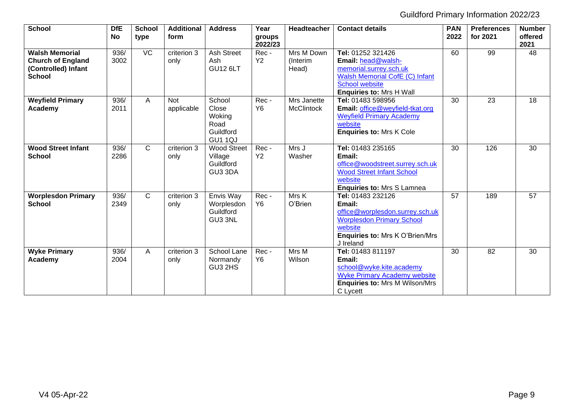| <b>School</b>                                                                             | <b>DfE</b><br>No | <b>School</b><br>type | <b>Additional</b><br>form | <b>Address</b>                                                   | Year<br>groups<br>2022/23 | Headteacher                      | <b>Contact details</b>                                                                                                                                                 | <b>PAN</b><br>2022 | <b>Preferences</b><br>for 2021 | <b>Number</b><br>offered<br>2021 |
|-------------------------------------------------------------------------------------------|------------------|-----------------------|---------------------------|------------------------------------------------------------------|---------------------------|----------------------------------|------------------------------------------------------------------------------------------------------------------------------------------------------------------------|--------------------|--------------------------------|----------------------------------|
| <b>Walsh Memorial</b><br><b>Church of England</b><br>(Controlled) Infant<br><b>School</b> | 936/<br>3002     | $\overline{VC}$       | criterion 3<br>only       | <b>Ash Street</b><br>Ash<br><b>GU12 6LT</b>                      | Rec-<br>Y2                | Mrs M Down<br>(Interim<br>Head)  | Tel: 01252 321426<br>Email: head@walsh-<br>memorial.surrey.sch.uk<br><b>Walsh Memorial CofE (C) Infant</b><br><b>School website</b><br><b>Enquiries to: Mrs H Wall</b> | 60                 | 99                             | 48                               |
| <b>Weyfield Primary</b><br>Academy                                                        | 936/<br>2011     | A                     | <b>Not</b><br>applicable  | School<br>Close<br>Woking<br>Road<br>Guildford<br><b>GU1 1QJ</b> | Rec-<br><b>Y6</b>         | Mrs Janette<br><b>McClintock</b> | Tel: 01483 598956<br>Email: office@weyfield-tkat.org<br><b>Weyfield Primary Academy</b><br>website<br><b>Enquiries to: Mrs K Cole</b>                                  | 30                 | 23                             | 18                               |
| <b>Wood Street Infant</b><br><b>School</b>                                                | 936/<br>2286     | $\mathsf{C}$          | criterion 3<br>only       | <b>Wood Street</b><br>Village<br>Guildford<br>GU3 3DA            | Rec-<br>Y2                | Mrs J<br>Washer                  | Tel: 01483 235165<br>Email:<br>office@woodstreet.surrey.sch.uk<br><b>Wood Street Infant School</b><br>website<br>Enquiries to: Mrs S Lamnea                            | 30                 | 126                            | 30                               |
| <b>Worplesdon Primary</b><br><b>School</b>                                                | 936/<br>2349     | $\mathsf{C}$          | criterion 3<br>only       | Envis Way<br>Worplesdon<br>Guildford<br>GU3 3NL                  | Rec-<br><b>Y6</b>         | Mrs K<br>O'Brien                 | Tel: 01483 232126<br>Email:<br>office@worplesdon.surrey.sch.uk<br><b>Worplesdon Primary School</b><br>website<br><b>Enquiries to: Mrs K O'Brien/Mrs</b><br>J Ireland   | 57                 | 189                            | 57                               |
| <b>Wyke Primary</b><br>Academy                                                            | 936/<br>2004     | A                     | criterion 3<br>only       | School Lane<br>Normandy<br>GU3 2HS                               | Rec-<br>Y6                | Mrs M<br>Wilson                  | Tel: 01483 811197<br>Email:<br>school@wyke.kite.academy<br><b>Wyke Primary Academy website</b><br><b>Enquiries to: Mrs M Wilson/Mrs</b><br>C Lycett                    | 30                 | 82                             | 30                               |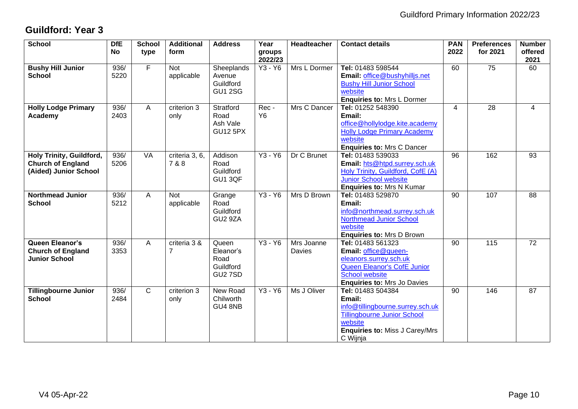# <span id="page-9-0"></span>**Guildford: Year 3**

| <b>School</b>                                                                 | <b>DfE</b><br><b>No</b> | <b>School</b><br>type | <b>Additional</b><br>form | <b>Address</b>                                            | Year<br>groups<br>2022/23 | <b>Headteacher</b>          | <b>Contact details</b>                                                                                                                                                | <b>PAN</b><br>2022 | <b>Preferences</b><br>for 2021 | <b>Number</b><br>offered<br>2021 |
|-------------------------------------------------------------------------------|-------------------------|-----------------------|---------------------------|-----------------------------------------------------------|---------------------------|-----------------------------|-----------------------------------------------------------------------------------------------------------------------------------------------------------------------|--------------------|--------------------------------|----------------------------------|
| <b>Bushy Hill Junior</b><br><b>School</b>                                     | 936/<br>5220            | F                     | <b>Not</b><br>applicable  | Sheeplands<br>Avenue<br>Guildford<br><b>GU1 2SG</b>       | Y3 - Y6                   | Mrs L Dormer                | Tel: 01483 598544<br>Email: office@bushyhilljs.net<br><b>Bushy Hill Junior School</b><br>website<br><b>Enquiries to: Mrs L Dormer</b>                                 | 60                 | 75                             | 60                               |
| <b>Holly Lodge Primary</b><br>Academy                                         | 936/<br>2403            | A                     | criterion 3<br>only       | Stratford<br>Road<br>Ash Vale<br><b>GU12 5PX</b>          | Rec-<br>Y <sub>6</sub>    | Mrs C Dancer                | Tel: 01252 548390<br>Email:<br>office@hollylodge.kite.academy<br><b>Holly Lodge Primary Academy</b><br>website<br><b>Enquiries to: Mrs C Dancer</b>                   | 4                  | 28                             | $\overline{4}$                   |
| Holy Trinity, Guildford,<br><b>Church of England</b><br>(Aided) Junior School | 936/<br>5206            | <b>VA</b>             | criteria 3, 6,<br>7 & 8   | Addison<br>Road<br>Guildford<br>GU1 3QF                   | $Y3 - Y6$                 | Dr C Brunet                 | Tel: 01483 539033<br>Email: hts@htpd.surrey.sch.uk<br>Holy Trinity, Guildford, CofE (A)<br><b>Junior School website</b><br><b>Enquiries to: Mrs N Kumar</b>           | $\overline{96}$    | 162                            | $\overline{93}$                  |
| <b>Northmead Junior</b><br><b>School</b>                                      | 936/<br>5212            | A                     | <b>Not</b><br>applicable  | Grange<br>Road<br>Guildford<br>GU2 9ZA                    | Y3 - Y6                   | Mrs D Brown                 | Tel: 01483 529870<br>Email:<br>info@northmead.surrey.sch.uk<br>Northmead Junior School<br>website<br><b>Enquiries to: Mrs D Brown</b>                                 | 90                 | 107                            | 88                               |
| Queen Eleanor's<br><b>Church of England</b><br><b>Junior School</b>           | 936/<br>3353            | A                     | criteria 3 &<br>7         | Queen<br>Eleanor's<br>Road<br>Guildford<br><b>GU2 7SD</b> | Y3 - Y6                   | Mrs Joanne<br><b>Davies</b> | Tel: 01483 561323<br>Email: office@queen-<br>eleanors.surrey.sch.uk<br>Queen Eleanor's CofE Junior<br><b>School website</b><br><b>Enquiries to: Mrs Jo Davies</b>     | 90                 | 115                            | 72                               |
| <b>Tillingbourne Junior</b><br><b>School</b>                                  | 936/<br>2484            | $\overline{C}$        | criterion 3<br>only       | New Road<br>Chilworth<br>GU4 8NB                          | Y3 - Y6                   | Ms J Oliver                 | Tel: 01483 504384<br>Email:<br>info@tillingbourne.surrey.sch.uk<br><b>Tillingbourne Junior School</b><br>website<br><b>Enquiries to: Miss J Carey/Mrs</b><br>C Wijnja | 90                 | 146                            | 87                               |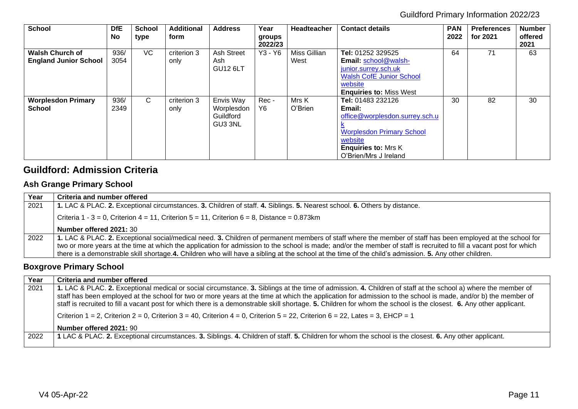| <b>School</b>                                          | <b>DfE</b><br>No | <b>School</b><br>type | <b>Additional</b><br>form | <b>Address</b>                                  | Year<br>groups<br>2022/23 | <b>Headteacher</b>   | <b>Contact details</b>                                                                                                                                              | <b>PAN</b><br>2022 | <b>Preferences</b><br>for 2021 | <b>Number</b><br>offered<br>2021 |
|--------------------------------------------------------|------------------|-----------------------|---------------------------|-------------------------------------------------|---------------------------|----------------------|---------------------------------------------------------------------------------------------------------------------------------------------------------------------|--------------------|--------------------------------|----------------------------------|
| <b>Walsh Church of</b><br><b>England Junior School</b> | 936/<br>3054     | VC                    | criterion 3<br>only       | Ash Street<br>Ash<br><b>GU12 6LT</b>            | Y3 - Y6                   | Miss Gillian<br>West | Tel: 01252 329525<br>Email: school@walsh-<br>junior.surrey.sch.uk<br><b>Walsh CofE Junior School</b><br>website<br><b>Enquiries to: Miss West</b>                   | 64                 | 71                             | 63                               |
| <b>Worplesdon Primary</b><br><b>School</b>             | 936/<br>2349     | C.                    | criterion 3<br>only       | Envis Way<br>Worplesdon<br>Guildford<br>GU3 3NL | Rec-<br>Y <sub>6</sub>    | Mrs K<br>O'Brien     | Tel: 01483 232126<br>Email:<br>office@worplesdon.surrey.sch.u<br><b>Worplesdon Primary School</b><br>website<br><b>Enquiries to: Mrs K</b><br>O'Brien/Mrs J Ireland | 30                 | 82                             | 30                               |

## <span id="page-10-0"></span>**Guildford: Admission Criteria**

#### <span id="page-10-1"></span>**Ash Grange Primary School**

| Year | Criteria and number offered                                                                                                                                                                                                                                                                                                                                                                                                                                                                |
|------|--------------------------------------------------------------------------------------------------------------------------------------------------------------------------------------------------------------------------------------------------------------------------------------------------------------------------------------------------------------------------------------------------------------------------------------------------------------------------------------------|
| 2021 | 1. LAC & PLAC. 2. Exceptional circumstances. 3. Children of staff. 4. Siblings. 5. Nearest school. 6. Others by distance.                                                                                                                                                                                                                                                                                                                                                                  |
|      | Criteria 1 - 3 = 0, Criterion 4 = 11, Criterion 5 = 11, Criterion 6 = 8, Distance = 0.873km                                                                                                                                                                                                                                                                                                                                                                                                |
|      | Number offered 2021: 30                                                                                                                                                                                                                                                                                                                                                                                                                                                                    |
| 2022 | 1. LAC & PLAC. 2. Exceptional social/medical need. 3. Children of permanent members of staff where the member of staff has been employed at the school for<br>two or more years at the time at which the application for admission to the school is made; and/or the member of staff is recruited to fill a vacant post for which<br>there is a demonstrable skill shortage.4. Children who will have a sibling at the school at the time of the child's admission. 5. Any other children. |

## <span id="page-10-2"></span>**Boxgrove Primary School**

<span id="page-10-3"></span>

| Year | Criteria and number offered                                                                                                                                                                                                                                                                                                                                                                                                                                                                          |
|------|------------------------------------------------------------------------------------------------------------------------------------------------------------------------------------------------------------------------------------------------------------------------------------------------------------------------------------------------------------------------------------------------------------------------------------------------------------------------------------------------------|
| 2021 | 1. LAC & PLAC. 2. Exceptional medical or social circumstance. 3. Siblings at the time of admission. 4. Children of staff at the school a) where the member of<br>staff has been employed at the school for two or more years at the time at which the application for admission to the school is made, and/or b) the member of<br>staff is recruited to fill a vacant post for which there is a demonstrable skill shortage. 5. Children for whom the school is the closest. 6. Any other applicant. |
|      | Criterion 1 = 2, Criterion 2 = 0, Criterion 3 = 40, Criterion 4 = 0, Criterion 5 = 22, Criterion 6 = 22, Lates = 3, EHCP = 1                                                                                                                                                                                                                                                                                                                                                                         |
|      | Number offered 2021: 90                                                                                                                                                                                                                                                                                                                                                                                                                                                                              |
| 2022 | 1 LAC & PLAC. 2. Exceptional circumstances. 3. Siblings. 4. Children of staff. 5. Children for whom the school is the closest. 6. Any other applicant.                                                                                                                                                                                                                                                                                                                                               |
|      |                                                                                                                                                                                                                                                                                                                                                                                                                                                                                                      |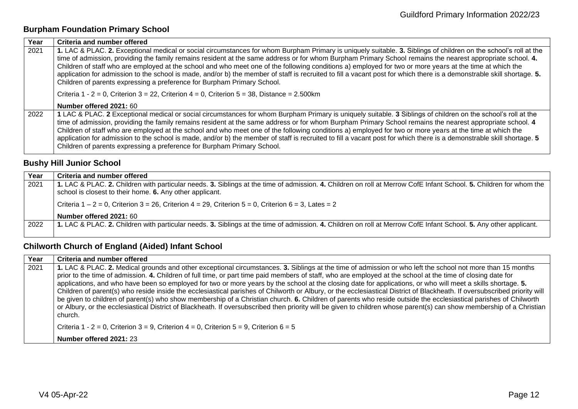## **Burpham Foundation Primary School**

| Year | Criteria and number offered                                                                                                                                                                                                                                                                                                                                                                                                                                                                                                                                                                                                                                                                                                                     |
|------|-------------------------------------------------------------------------------------------------------------------------------------------------------------------------------------------------------------------------------------------------------------------------------------------------------------------------------------------------------------------------------------------------------------------------------------------------------------------------------------------------------------------------------------------------------------------------------------------------------------------------------------------------------------------------------------------------------------------------------------------------|
| 2021 | 1. LAC & PLAC. 2. Exceptional medical or social circumstances for whom Burpham Primary is uniquely suitable. 3. Siblings of children on the school's roll at the<br>time of admission, providing the family remains resident at the same address or for whom Burpham Primary School remains the nearest appropriate school. 4.<br>Children of staff who are employed at the school and who meet one of the following conditions a) employed for two or more years at the time at which the<br>application for admission to the school is made, and/or b) the member of staff is recruited to fill a vacant post for which there is a demonstrable skill shortage. 5.<br>Children of parents expressing a preference for Burpham Primary School. |
|      | Criteria 1 - 2 = 0, Criterion 3 = 22, Criterion 4 = 0, Criterion 5 = 38, Distance = 2.500km                                                                                                                                                                                                                                                                                                                                                                                                                                                                                                                                                                                                                                                     |
|      | Number offered 2021: 60                                                                                                                                                                                                                                                                                                                                                                                                                                                                                                                                                                                                                                                                                                                         |
| 2022 | 1 LAC & PLAC. 2 Exceptional medical or social circumstances for whom Burpham Primary is uniquely suitable. 3 Siblings of children on the school's roll at the<br>time of admission, providing the family remains resident at the same address or for whom Burpham Primary School remains the nearest appropriate school. 4<br>Children of staff who are employed at the school and who meet one of the following conditions a) employed for two or more years at the time at which the<br>application for admission to the school is made, and/or b) the member of staff is recruited to fill a vacant post for which there is a demonstrable skill shortage. 5<br>Children of parents expressing a preference for Burpham Primary School.      |

#### <span id="page-11-0"></span>**Bushy Hill Junior School**

| Year | Criteria and number offered                                                                                                                                                                                                    |
|------|--------------------------------------------------------------------------------------------------------------------------------------------------------------------------------------------------------------------------------|
| 2021 | 1. LAC & PLAC. 2. Children with particular needs. 3. Siblings at the time of admission. 4. Children on roll at Merrow CofE Infant School. 5. Children for whom the<br>school is closest to their home. 6. Any other applicant. |
|      | Criteria $1 - 2 = 0$ , Criterion $3 = 26$ , Criterion $4 = 29$ , Criterion $5 = 0$ , Criterion $6 = 3$ , Lates = 2                                                                                                             |
|      | Number offered 2021: 60                                                                                                                                                                                                        |
| 2022 | 1. LAC & PLAC. 2. Children with particular needs. 3. Siblings at the time of admission. 4. Children on roll at Merrow CofE Infant School. 5. Any other applicant.                                                              |
|      |                                                                                                                                                                                                                                |

# <span id="page-11-1"></span>**Chilworth Church of England (Aided) Infant School**

| Year | Criteria and number offered                                                                                                                                                                                                                                                                                                                                                                                                                                                                                                                                                                                                                                                                                                                                                                                                                                                                                                                                                                                                    |
|------|--------------------------------------------------------------------------------------------------------------------------------------------------------------------------------------------------------------------------------------------------------------------------------------------------------------------------------------------------------------------------------------------------------------------------------------------------------------------------------------------------------------------------------------------------------------------------------------------------------------------------------------------------------------------------------------------------------------------------------------------------------------------------------------------------------------------------------------------------------------------------------------------------------------------------------------------------------------------------------------------------------------------------------|
| 2021 | 1. LAC & PLAC. 2. Medical grounds and other exceptional circumstances. 3. Siblings at the time of admission or who left the school not more than 15 months<br>prior to the time of admission. 4. Children of full time, or part time paid members of staff, who are employed at the school at the time of closing date for<br>applications, and who have been so employed for two or more years by the school at the closing date for applications, or who will meet a skills shortage. 5.<br>Children of parent(s) who reside inside the ecclesiastical parishes of Chilworth or Albury, or the ecclesiastical District of Blackheath. If oversubscribed priority will<br>be given to children of parent(s) who show membership of a Christian church. 6. Children of parents who reside outside the ecclesiastical parishes of Chilworth<br>or Albury, or the ecclesiastical District of Blackheath. If oversubscribed then priority will be given to children whose parent(s) can show membership of a Christian<br>church. |
|      | Criteria 1 - 2 = 0, Criterion 3 = 9, Criterion 4 = 0, Criterion 5 = 9, Criterion 6 = 5                                                                                                                                                                                                                                                                                                                                                                                                                                                                                                                                                                                                                                                                                                                                                                                                                                                                                                                                         |
|      | Number offered 2021: 23                                                                                                                                                                                                                                                                                                                                                                                                                                                                                                                                                                                                                                                                                                                                                                                                                                                                                                                                                                                                        |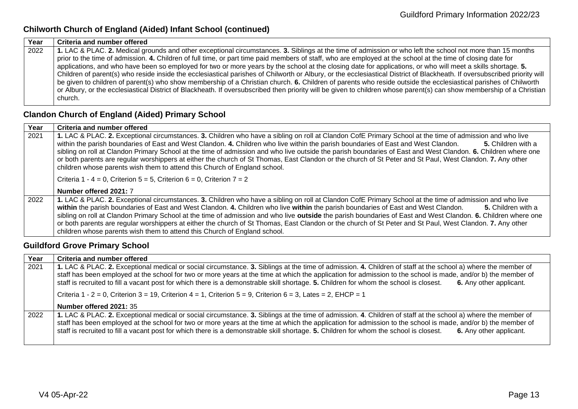## **Chilworth Church of England (Aided) Infant School (continued)**

| Year | Criteria and number offered                                                                                                                                               |
|------|---------------------------------------------------------------------------------------------------------------------------------------------------------------------------|
| 2022 | 1. LAC & PLAC. 2. Medical grounds and other exceptional circumstances. 3. Siblings at the time of admission or who left the school not more than 15 months                |
|      | prior to the time of admission. 4. Children of full time, or part time paid members of staff, who are employed at the school at the time of closing date for              |
|      | applications, and who have been so employed for two or more years by the school at the closing date for applications, or who will meet a skills shortage. 5.              |
|      | Children of parent(s) who reside inside the ecclesiastical parishes of Chilworth or Albury, or the ecclesiastical District of Blackheath. If oversubscribed priority will |
|      | be given to children of parent(s) who show membership of a Christian church. 6. Children of parents who reside outside the ecclesiastical parishes of Chilworth           |
|      | or Albury, or the ecclesiastical District of Blackheath. If oversubscribed then priority will be given to children whose parent(s) can show membership of a Christian     |
|      | church.                                                                                                                                                                   |

# <span id="page-12-0"></span>**Clandon Church of England (Aided) Primary School**

| Year | Criteria and number offered                                                                                                                                                                                                                                                                                                                                                                                                                                                                                                                                                                                                                                                                                                     |
|------|---------------------------------------------------------------------------------------------------------------------------------------------------------------------------------------------------------------------------------------------------------------------------------------------------------------------------------------------------------------------------------------------------------------------------------------------------------------------------------------------------------------------------------------------------------------------------------------------------------------------------------------------------------------------------------------------------------------------------------|
| 2021 | 1. LAC & PLAC. 2. Exceptional circumstances. 3. Children who have a sibling on roll at Clandon CofE Primary School at the time of admission and who live<br>within the parish boundaries of East and West Clandon. 4. Children who live within the parish boundaries of East and West Clandon.<br>5. Children with a<br>sibling on roll at Clandon Primary School at the time of admission and who live outside the parish boundaries of East and West Clandon. 6. Children where one<br>or both parents are regular worshippers at either the church of St Thomas, East Clandon or the church of St Peter and St Paul, West Clandon. 7. Any other<br>children whose parents wish them to attend this Church of England school. |
|      | Criteria 1 - 4 = 0, Criterion 5 = 5, Criterion 6 = 0, Criterion 7 = 2<br>Number offered 2021: 7                                                                                                                                                                                                                                                                                                                                                                                                                                                                                                                                                                                                                                 |
| 2022 | 1. LAC & PLAC. 2. Exceptional circumstances. 3. Children who have a sibling on roll at Clandon CofE Primary School at the time of admission and who live<br>within the parish boundaries of East and West Clandon. 4. Children who live within the parish boundaries of East and West Clandon.<br>5. Children with a<br>sibling on roll at Clandon Primary School at the time of admission and who live outside the parish boundaries of East and West Clandon. 6. Children where one<br>or both parents are regular worshippers at either the church of St Thomas, East Clandon or the church of St Peter and St Paul, West Clandon. 7. Any other<br>children whose parents wish them to attend this Church of England school. |

#### <span id="page-12-1"></span>**Guildford Grove Primary School**

| Year | Criteria and number offered                                                                                                                                                                                                                                                                                                                                                                                                                                                                         |
|------|-----------------------------------------------------------------------------------------------------------------------------------------------------------------------------------------------------------------------------------------------------------------------------------------------------------------------------------------------------------------------------------------------------------------------------------------------------------------------------------------------------|
| 2021 | 1. LAC & PLAC. 2. Exceptional medical or social circumstance. 3. Siblings at the time of admission. 4. Children of staff at the school a) where the member of<br>staff has been employed at the school for two or more years at the time at which the application for admission to the school is made, and/or b) the member of<br>staff is recruited to fill a vacant post for which there is a demonstrable skill shortage. 5. Children for whom the school is closest.<br>6. Any other applicant. |
|      | Criteria 1 - 2 = 0, Criterion 3 = 19, Criterion 4 = 1, Criterion 5 = 9, Criterion 6 = 3, Lates = 2, EHCP = 1                                                                                                                                                                                                                                                                                                                                                                                        |
|      | Number offered 2021: 35                                                                                                                                                                                                                                                                                                                                                                                                                                                                             |
| 2022 | 1. LAC & PLAC. 2. Exceptional medical or social circumstance. 3. Siblings at the time of admission. 4. Children of staff at the school a) where the member of<br>staff has been employed at the school for two or more years at the time at which the application for admission to the school is made, and/or b) the member of<br>staff is recruited to fill a vacant post for which there is a demonstrable skill shortage. 5. Children for whom the school is closest.<br>6. Any other applicant. |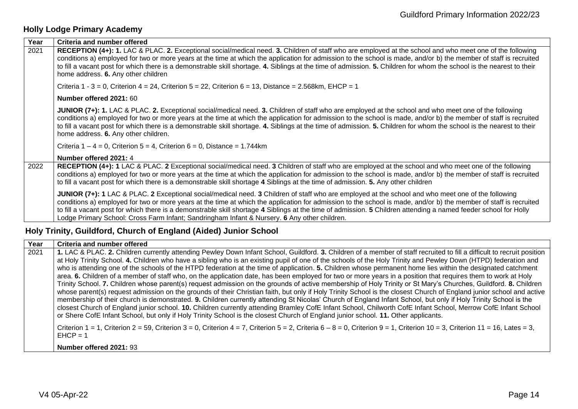## <span id="page-13-0"></span>**Holly Lodge Primary Academy**

| Year | Criteria and number offered                                                                                                                                                                                                                                                                                                                                                                                                                                                                                                                                                                 |
|------|---------------------------------------------------------------------------------------------------------------------------------------------------------------------------------------------------------------------------------------------------------------------------------------------------------------------------------------------------------------------------------------------------------------------------------------------------------------------------------------------------------------------------------------------------------------------------------------------|
| 2021 | RECEPTION (4+): 1. LAC & PLAC. 2. Exceptional social/medical need. 3. Children of staff who are employed at the school and who meet one of the following<br>conditions a) employed for two or more years at the time at which the application for admission to the school is made, and/or b) the member of staff is recruited<br>to fill a vacant post for which there is a demonstrable skill shortage. 4. Siblings at the time of admission. 5. Children for whom the school is the nearest to their<br>home address. 6. Any other children                                               |
|      | Criteria 1 - 3 = 0, Criterion 4 = 24, Criterion 5 = 22, Criterion 6 = 13, Distance = 2.568km, EHCP = 1                                                                                                                                                                                                                                                                                                                                                                                                                                                                                      |
|      | Number offered 2021: 60                                                                                                                                                                                                                                                                                                                                                                                                                                                                                                                                                                     |
|      | JUNIOR (7+): 1. LAC & PLAC. 2. Exceptional social/medical need. 3. Children of staff who are employed at the school and who meet one of the following<br>conditions a) employed for two or more years at the time at which the application for admission to the school is made, and/or b) the member of staff is recruited<br>to fill a vacant post for which there is a demonstrable skill shortage. 4. Siblings at the time of admission. 5. Children for whom the school is the nearest to their<br>home address. 6. Any other children.                                                 |
|      | Criteria $1 - 4 = 0$ , Criterion $5 = 4$ , Criterion $6 = 0$ , Distance = 1.744km                                                                                                                                                                                                                                                                                                                                                                                                                                                                                                           |
|      | Number offered 2021: 4                                                                                                                                                                                                                                                                                                                                                                                                                                                                                                                                                                      |
| 2022 | RECEPTION (4+): 1 LAC & PLAC. 2 Exceptional social/medical need. 3 Children of staff who are employed at the school and who meet one of the following<br>conditions a) employed for two or more years at the time at which the application for admission to the school is made, and/or b) the member of staff is recruited<br>to fill a vacant post for which there is a demonstrable skill shortage 4 Siblings at the time of admission. 5. Any other children                                                                                                                             |
|      | JUNIOR (7+): 1 LAC & PLAC. 2 Exceptional social/medical need. 3 Children of staff who are employed at the school and who meet one of the following<br>conditions a) employed for two or more years at the time at which the application for admission to the school is made, and/or b) the member of staff is recruited<br>to fill a vacant post for which there is a demonstrable skill shortage 4 Siblings at the time of admission. 5 Children attending a named feeder school for Holly<br>Lodge Primary School: Cross Farm Infant; Sandringham Infant & Nursery. 6 Any other children. |

## <span id="page-13-1"></span>**Holy Trinity, Guildford, Church of England (Aided) Junior School**

| Year | Criteria and number offered                                                                                                                                                                                                                                                                                                                                                                                                                                                                                                                                                                                                                                                                                                                                                                                                                                                                                                                                                                                                                                                                                                                                                                                                                                                                                                                                                                                                                                                                      |
|------|--------------------------------------------------------------------------------------------------------------------------------------------------------------------------------------------------------------------------------------------------------------------------------------------------------------------------------------------------------------------------------------------------------------------------------------------------------------------------------------------------------------------------------------------------------------------------------------------------------------------------------------------------------------------------------------------------------------------------------------------------------------------------------------------------------------------------------------------------------------------------------------------------------------------------------------------------------------------------------------------------------------------------------------------------------------------------------------------------------------------------------------------------------------------------------------------------------------------------------------------------------------------------------------------------------------------------------------------------------------------------------------------------------------------------------------------------------------------------------------------------|
| 2021 | 1. LAC & PLAC. 2. Children currently attending Pewley Down Infant School, Guildford. 3. Children of a member of staff recruited to fill a difficult to recruit position<br>at Holy Trinity School. 4. Children who have a sibling who is an existing pupil of one of the schools of the Holy Trinity and Pewley Down (HTPD) federation and<br>who is attending one of the schools of the HTPD federation at the time of application. 5. Children whose permanent home lies within the designated catchment<br>area. 6. Children of a member of staff who, on the application date, has been employed for two or more years in a position that requires them to work at Holy<br>Trinity School. 7. Children whose parent(s) request admission on the grounds of active membership of Holy Trinity or St Mary's Churches, Guildford. 8. Children<br>whose parent(s) request admission on the grounds of their Christian faith, but only if Holy Trinity School is the closest Church of England junior school and active<br>membership of their church is demonstrated. 9. Children currently attending St Nicolas' Church of England Infant School, but only if Holy Trinity School is the<br>closest Church of England junior school. 10. Children currently attending Bramley CofE Infant School, Chilworth CofE Infant School, Merrow CofE Infant School<br>or Shere CofE Infant School, but only if Holy Trinity School is the closest Church of England junior school. 11. Other applicants. |
|      | Criterion 1 = 1, Criterion 2 = 59, Criterion 3 = 0, Criterion 4 = 7, Criterion 5 = 2, Criteria 6 - 8 = 0, Criterion 9 = 1, Criterion 10 = 3, Criterion 11 = 16, Lates = 3,<br>$EHCP = 1$                                                                                                                                                                                                                                                                                                                                                                                                                                                                                                                                                                                                                                                                                                                                                                                                                                                                                                                                                                                                                                                                                                                                                                                                                                                                                                         |

**Number offered 2021:** 93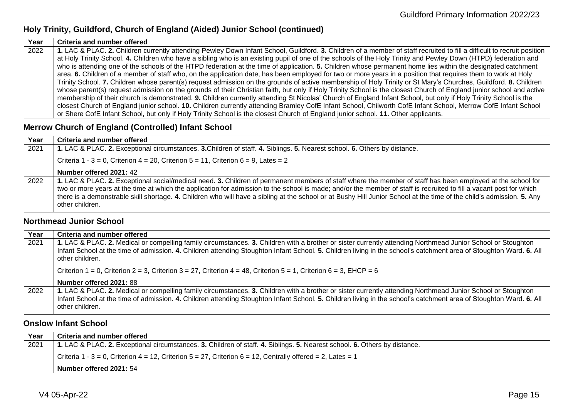#### **Holy Trinity, Guildford, Church of England (Aided) Junior School (continued)**

| Year | <b>Criteria and number offered</b>                                                                                                                                      |
|------|-------------------------------------------------------------------------------------------------------------------------------------------------------------------------|
| 2022 | 1. LAC & PLAC. 2. Children currently attending Pewley Down Infant School, Guildford. 3. Children of a member of staff recruited to fill a difficult to recruit position |
|      | at Holy Trinity School. 4. Children who have a sibling who is an existing pupil of one of the schools of the Holy Trinity and Pewley Down (HTPD) federation and         |
|      | who is attending one of the schools of the HTPD federation at the time of application. 5. Children whose permanent home lies within the designated catchment            |
|      | area. 6. Children of a member of staff who, on the application date, has been employed for two or more years in a position that requires them to work at Holy           |
|      | Trinity School. 7. Children whose parent(s) request admission on the grounds of active membership of Holy Trinity or St Mary's Churches, Guildford. 8. Children         |
|      | whose parent(s) request admission on the grounds of their Christian faith, but only if Holy Trinity School is the closest Church of England junior school and active    |
|      | membership of their church is demonstrated. 9. Children currently attending St Nicolas' Church of England Infant School, but only if Holy Trinity School is the         |
|      | closest Church of England junior school. 10. Children currently attending Bramley CofE Infant School, Chilworth CofE Infant School, Merrow CofE Infant School           |
|      | or Shere CofE Infant School, but only if Holy Trinity School is the closest Church of England junior school. 11. Other applicants.                                      |

#### <span id="page-14-0"></span>**Merrow Church of England (Controlled) Infant School**

| Year | Criteria and number offered                                                                                                                                                                                                                                                                                                                                                                                                                                                                                                   |
|------|-------------------------------------------------------------------------------------------------------------------------------------------------------------------------------------------------------------------------------------------------------------------------------------------------------------------------------------------------------------------------------------------------------------------------------------------------------------------------------------------------------------------------------|
| 2021 | 1. LAC & PLAC. 2. Exceptional circumstances. 3. Children of staff. 4. Siblings. 5. Nearest school. 6. Others by distance.                                                                                                                                                                                                                                                                                                                                                                                                     |
|      | Criteria 1 - 3 = 0, Criterion 4 = 20, Criterion 5 = 11, Criterion 6 = 9, Lates = 2                                                                                                                                                                                                                                                                                                                                                                                                                                            |
|      | Number offered 2021: 42                                                                                                                                                                                                                                                                                                                                                                                                                                                                                                       |
| 2022 | 1. LAC & PLAC. 2. Exceptional social/medical need. 3. Children of permanent members of staff where the member of staff has been employed at the school for<br>two or more years at the time at which the application for admission to the school is made; and/or the member of staff is recruited to fill a vacant post for which<br>there is a demonstrable skill shortage. 4. Children who will have a sibling at the school or at Bushy Hill Junior School at the time of the child's admission. 5. Any<br>other children. |

#### <span id="page-14-1"></span>**Northmead Junior School**

| Year | Criteria and number offered                                                                                                                                                                                                                                                                                                                          |
|------|------------------------------------------------------------------------------------------------------------------------------------------------------------------------------------------------------------------------------------------------------------------------------------------------------------------------------------------------------|
| 2021 | 1. LAC & PLAC. 2. Medical or compelling family circumstances. 3. Children with a brother or sister currently attending Northmead Junior School or Stoughton<br>Infant School at the time of admission. 4. Children attending Stoughton Infant School. 5. Children living in the school's catchment area of Stoughton Ward. 6. All<br>other children. |
|      | Criterion 1 = 0, Criterion 2 = 3, Criterion 3 = 27, Criterion 4 = 48, Criterion 5 = 1, Criterion 6 = 3, EHCP = 6                                                                                                                                                                                                                                     |
|      | Number offered 2021: 88                                                                                                                                                                                                                                                                                                                              |
| 2022 | 1. LAC & PLAC. 2. Medical or compelling family circumstances. 3. Children with a brother or sister currently attending Northmead Junior School or Stoughton<br>Infant School at the time of admission. 4. Children attending Stoughton Infant School. 5. Children living in the school's catchment area of Stoughton Ward. 6. All<br>other children. |

#### <span id="page-14-2"></span>**Onslow Infant School**

| Year | Criteria and number offered                                                                                               |
|------|---------------------------------------------------------------------------------------------------------------------------|
| 2021 | 1. LAC & PLAC. 2. Exceptional circumstances. 3. Children of staff. 4. Siblings. 5. Nearest school. 6. Others by distance. |
|      | Criteria 1 - 3 = 0, Criterion 4 = 12, Criterion 5 = 27, Criterion 6 = 12, Centrally offered = 2, Lates = 1                |
|      | Number offered 2021: 54                                                                                                   |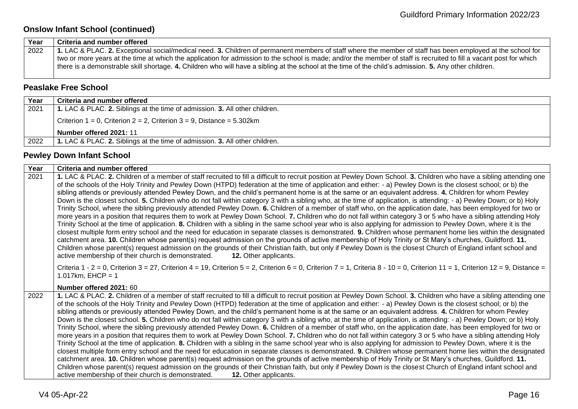## **Onslow Infant School (continued)**

| 1. LAC & PLAC. 2. Exceptional social/medical need. 3. Children of permanent members of staff where the member of staff has been employed at the school for          |
|---------------------------------------------------------------------------------------------------------------------------------------------------------------------|
| two or more years at the time at which the application for admission to the school is made; and/or the member of staff is recruited to fill a vacant post for which |
| there is a demonstrable skill shortage. 4. Children who will have a sibling at the school at the time of the child's admission. 5. Any other children.              |
|                                                                                                                                                                     |

#### <span id="page-15-0"></span>**Peaslake Free School**

| Year | Criteria and number offered                                                    |
|------|--------------------------------------------------------------------------------|
| 2021 | 1. LAC & PLAC. 2. Siblings at the time of admission. 3. All other children.    |
|      | Criterion $1 = 0$ , Criterion $2 = 2$ , Criterion $3 = 9$ , Distance = 5.302km |
|      | Number offered 2021: 11                                                        |
| 2022 | 1. LAC & PLAC. 2. Siblings at the time of admission. 3. All other children.    |

#### <span id="page-15-1"></span>**Pewley Down Infant School**

| Year | Criteria and number offered                                                                                                                                                                                                                                                                                                                                                                                                                                                                                                                                                                                                                                                                                                                                                                                                                                                                                                                                                                                                                                                                                                                                                                                                                                                                                                                                                                                                                                                                                                                                                                                                                                                                                                                                                                         |
|------|-----------------------------------------------------------------------------------------------------------------------------------------------------------------------------------------------------------------------------------------------------------------------------------------------------------------------------------------------------------------------------------------------------------------------------------------------------------------------------------------------------------------------------------------------------------------------------------------------------------------------------------------------------------------------------------------------------------------------------------------------------------------------------------------------------------------------------------------------------------------------------------------------------------------------------------------------------------------------------------------------------------------------------------------------------------------------------------------------------------------------------------------------------------------------------------------------------------------------------------------------------------------------------------------------------------------------------------------------------------------------------------------------------------------------------------------------------------------------------------------------------------------------------------------------------------------------------------------------------------------------------------------------------------------------------------------------------------------------------------------------------------------------------------------------------|
| 2021 | 1. LAC & PLAC. 2. Children of a member of staff recruited to fill a difficult to recruit position at Pewley Down School. 3. Children who have a sibling attending one<br>of the schools of the Holy Trinity and Pewley Down (HTPD) federation at the time of application and either: - a) Pewley Down is the closest school; or b) the<br>sibling attends or previously attended Pewley Down, and the child's permanent home is at the same or an equivalent address. 4. Children for whom Pewley<br>Down is the closest school. 5. Children who do not fall within category 3 with a sibling who, at the time of application, is attending: - a) Pewley Down; or b) Holy<br>Trinity School, where the sibling previously attended Pewley Down. 6. Children of a member of staff who, on the application date, has been employed for two or<br>more years in a position that requires them to work at Pewley Down School. 7. Children who do not fall within category 3 or 5 who have a sibling attending Holy<br>Trinity School at the time of application. 8. Children with a sibling in the same school year who is also applying for admission to Pewley Down, where it is the<br>closest multiple form entry school and the need for education in separate classes is demonstrated. 9. Children whose permanent home lies within the designated<br>catchment area. 10. Children whose parent(s) request admission on the grounds of active membership of Holy Trinity or St Mary's churches, Guildford. 11.<br>Children whose parent(s) request admission on the grounds of their Christian faith, but only if Pewley Down is the closest Church of England infant school and<br>active membership of their church is demonstrated.<br><b>12.</b> Other applicants.                            |
|      | Criteria 1 - 2 = 0, Criterion 3 = 27, Criterion 4 = 19, Criterion 5 = 2, Criterion 6 = 0, Criterion 7 = 1, Criteria 8 - 10 = 0, Criterion 11 = 1, Criterion 12 = 9, Distance =<br>1.017km, $E HCP = 1$                                                                                                                                                                                                                                                                                                                                                                                                                                                                                                                                                                                                                                                                                                                                                                                                                                                                                                                                                                                                                                                                                                                                                                                                                                                                                                                                                                                                                                                                                                                                                                                              |
| 2022 | Number offered 2021: 60<br>1. LAC & PLAC. 2. Children of a member of staff recruited to fill a difficult to recruit position at Pewley Down School. 3. Children who have a sibling attending one<br>of the schools of the Holy Trinity and Pewley Down (HTPD) federation at the time of application and either: - a) Pewley Down is the closest school; or b) the<br>sibling attends or previously attended Pewley Down, and the child's permanent home is at the same or an equivalent address. 4. Children for whom Pewley<br>Down is the closest school. 5. Children who do not fall within category 3 with a sibling who, at the time of application, is attending: - a) Pewley Down; or b) Holy<br>Trinity School, where the sibling previously attended Pewley Down. 6. Children of a member of staff who, on the application date, has been employed for two or<br>more years in a position that requires them to work at Pewley Down School. 7. Children who do not fall within category 3 or 5 who have a sibling attending Holy<br>Trinity School at the time of application. 8. Children with a sibling in the same school year who is also applying for admission to Pewley Down, where it is the<br>closest multiple form entry school and the need for education in separate classes is demonstrated. 9. Children whose permanent home lies within the designated<br>catchment area. 10. Children whose parent(s) request admission on the grounds of active membership of Holy Trinity or St Mary's churches, Guildford. 11.<br>Children whose parent(s) request admission on the grounds of their Christian faith, but only if Pewley Down is the closest Church of England infant school and<br>active membership of their church is demonstrated.<br><b>12.</b> Other applicants. |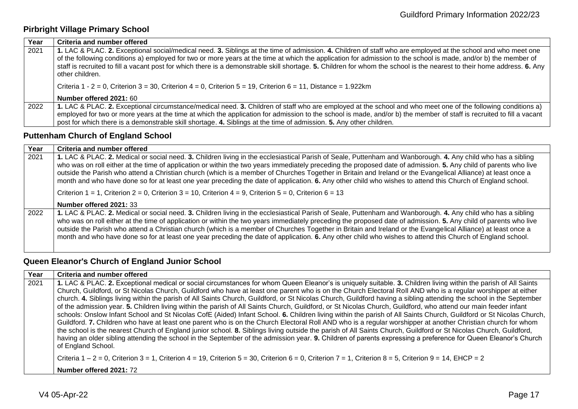## <span id="page-16-0"></span>**Pirbright Village Primary School**

| Year | Criteria and number offered                                                                                                                                                                                                                                                                                                                                                                                                                                                                                                    |
|------|--------------------------------------------------------------------------------------------------------------------------------------------------------------------------------------------------------------------------------------------------------------------------------------------------------------------------------------------------------------------------------------------------------------------------------------------------------------------------------------------------------------------------------|
| 2021 | 1. LAC & PLAC. 2. Exceptional social/medical need. 3. Siblings at the time of admission. 4. Children of staff who are employed at the school and who meet one<br>of the following conditions a) employed for two or more years at the time at which the application for admission to the school is made, and/or b) the member of<br>staff is recruited to fill a vacant post for which there is a demonstrable skill shortage. 5. Children for whom the school is the nearest to their home address. 6. Any<br>other children. |
|      | Criteria 1 - 2 = 0, Criterion 3 = 30, Criterion 4 = 0, Criterion 5 = 19, Criterion 6 = 11, Distance = 1.922km                                                                                                                                                                                                                                                                                                                                                                                                                  |
|      | Number offered 2021: 60                                                                                                                                                                                                                                                                                                                                                                                                                                                                                                        |
| 2022 | 1. LAC & PLAC. 2. Exceptional circumstance/medical need. 3. Children of staff who are employed at the school and who meet one of the following conditions a)<br>employed for two or more years at the time at which the application for admission to the school is made, and/or b) the member of staff is recruited to fill a vacant<br>post for which there is a demonstrable skill shortage. 4. Siblings at the time of admission. 5. Any other children.                                                                    |

#### <span id="page-16-1"></span>**Puttenham Church of England School**

| Year | Criteria and number offered                                                                                                                                                                                                                                                                                                                                                                                                                                                                                                                                                                                                                                    |
|------|----------------------------------------------------------------------------------------------------------------------------------------------------------------------------------------------------------------------------------------------------------------------------------------------------------------------------------------------------------------------------------------------------------------------------------------------------------------------------------------------------------------------------------------------------------------------------------------------------------------------------------------------------------------|
| 2021 | 1. LAC & PLAC. 2. Medical or social need. 3. Children living in the ecclesiastical Parish of Seale, Puttenham and Wanborough. 4. Any child who has a sibling<br>who was on roll either at the time of application or within the two years immediately preceding the proposed date of admission. 5. Any child of parents who live<br>outside the Parish who attend a Christian church (which is a member of Churches Together in Britain and Ireland or the Evangelical Alliance) at least once a<br>month and who have done so for at least one year preceding the date of application. 6. Any other child who wishes to attend this Church of England school. |
|      | Criterion 1 = 1, Criterion 2 = 0, Criterion 3 = 10, Criterion 4 = 9, Criterion 5 = 0, Criterion 6 = 13                                                                                                                                                                                                                                                                                                                                                                                                                                                                                                                                                         |
|      | Number offered 2021: 33                                                                                                                                                                                                                                                                                                                                                                                                                                                                                                                                                                                                                                        |
| 2022 | 1. LAC & PLAC. 2. Medical or social need. 3. Children living in the ecclesiastical Parish of Seale, Puttenham and Wanborough. 4. Any child who has a sibling<br>who was on roll either at the time of application or within the two years immediately preceding the proposed date of admission. 5. Any child of parents who live<br>outside the Parish who attend a Christian church (which is a member of Churches Together in Britain and Ireland or the Evangelical Alliance) at least once a<br>month and who have done so for at least one year preceding the date of application. 6. Any other child who wishes to attend this Church of England school. |

# <span id="page-16-2"></span>**Queen Eleanor's Church of England Junior School**

| Year | Criteria and number offered                                                                                                                                                                                                                                                                                                                                                                                                                                                                                                                                                                                                                                                                                                                                                                                                                                                                                                                                                                                                                                                                                                                                                                                                                                                                                                                                                                                                                                                                                                                                       |
|------|-------------------------------------------------------------------------------------------------------------------------------------------------------------------------------------------------------------------------------------------------------------------------------------------------------------------------------------------------------------------------------------------------------------------------------------------------------------------------------------------------------------------------------------------------------------------------------------------------------------------------------------------------------------------------------------------------------------------------------------------------------------------------------------------------------------------------------------------------------------------------------------------------------------------------------------------------------------------------------------------------------------------------------------------------------------------------------------------------------------------------------------------------------------------------------------------------------------------------------------------------------------------------------------------------------------------------------------------------------------------------------------------------------------------------------------------------------------------------------------------------------------------------------------------------------------------|
| 2021 | 1. LAC & PLAC. 2. Exceptional medical or social circumstances for whom Queen Eleanor's is uniquely suitable. 3. Children living within the parish of All Saints<br>Church, Guildford, or St Nicolas Church, Guildford who have at least one parent who is on the Church Electoral Roll AND who is a regular worshipper at either<br>church. 4. Siblings living within the parish of All Saints Church, Guildford, or St Nicolas Church, Guildford having a sibling attending the school in the September<br>of the admission year. 5. Children living within the parish of All Saints Church, Guildford, or St Nicolas Church, Guildford, who attend our main feeder infant<br>schools: Onslow Infant School and St Nicolas CofE (Aided) Infant School. 6. Children living within the parish of All Saints Church, Guildford or St Nicolas Church,<br>Guildford. 7. Children who have at least one parent who is on the Church Electoral Roll AND who is a regular worshipper at another Christian church for whom<br>the school is the nearest Church of England junior school. 8. Siblings living outside the parish of All Saints Church, Guildford or St Nicolas Church, Guildford,<br>having an older sibling attending the school in the September of the admission year. 9. Children of parents expressing a preference for Queen Eleanor's Church<br>of England School.<br>Criteria $1 - 2 = 0$ , Criterion $3 = 1$ , Criterion $4 = 19$ , Criterion $5 = 30$ , Criterion $6 = 0$ , Criterion $7 = 1$ , Criterion $8 = 5$ , Criterion $9 = 14$ , EHCP = 2 |
|      | Number offered 2021: 72                                                                                                                                                                                                                                                                                                                                                                                                                                                                                                                                                                                                                                                                                                                                                                                                                                                                                                                                                                                                                                                                                                                                                                                                                                                                                                                                                                                                                                                                                                                                           |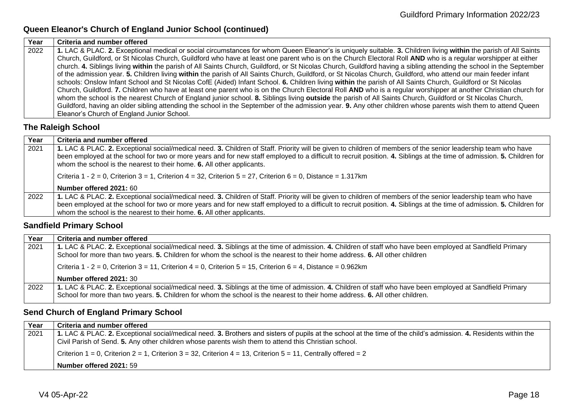## **Queen Eleanor's Church of England Junior School (continued)**

| Year | Criteria and number offered                                                                                                                                          |
|------|----------------------------------------------------------------------------------------------------------------------------------------------------------------------|
| 2022 | 1. LAC & PLAC. 2. Exceptional medical or social circumstances for whom Queen Eleanor's is uniquely suitable. 3. Children living within the parish of All Saints      |
|      | Church, Guildford, or St Nicolas Church, Guildford who have at least one parent who is on the Church Electoral Roll AND who is a regular worshipper at either        |
|      | church. 4. Siblings living within the parish of All Saints Church, Guildford, or St Nicolas Church, Guildford having a sibling attending the school in the September |
|      | of the admission year. 5. Children living within the parish of All Saints Church, Guildford, or St Nicolas Church, Guildford, who attend our main feeder infant      |
|      | schools: Onslow Infant School and St Nicolas CofE (Aided) Infant School. 6. Children living within the parish of All Saints Church, Guildford or St Nicolas          |
|      | Church, Guildford. 7. Children who have at least one parent who is on the Church Electoral Roll AND who is a regular worshipper at another Christian church for      |
|      | whom the school is the nearest Church of England junior school. 8. Siblings living outside the parish of All Saints Church, Guildford or St Nicolas Church,          |
|      | Guildford, having an older sibling attending the school in the September of the admission year. 9. Any other children whose parents wish them to attend Queen        |
|      | Eleanor's Church of England Junior School.                                                                                                                           |

#### <span id="page-17-0"></span>**The Raleigh School**

| Year | Criteria and number offered                                                                                                                                                                                                                                                                                                                                                                                       |
|------|-------------------------------------------------------------------------------------------------------------------------------------------------------------------------------------------------------------------------------------------------------------------------------------------------------------------------------------------------------------------------------------------------------------------|
| 2021 | 1. LAC & PLAC. 2. Exceptional social/medical need. 3. Children of Staff. Priority will be given to children of members of the senior leadership team who have<br>been employed at the school for two or more years and for new staff employed to a difficult to recruit position. 4. Siblings at the time of admission. 5. Children for<br>whom the school is the nearest to their home. 6. All other applicants. |
|      | Criteria 1 - 2 = 0, Criterion 3 = 1, Criterion 4 = 32, Criterion 5 = 27, Criterion 6 = 0, Distance = 1.317km                                                                                                                                                                                                                                                                                                      |
|      | Number offered 2021: 60                                                                                                                                                                                                                                                                                                                                                                                           |
| 2022 | 1. LAC & PLAC. 2. Exceptional social/medical need. 3. Children of Staff. Priority will be given to children of members of the senior leadership team who have                                                                                                                                                                                                                                                     |
|      | been employed at the school for two or more years and for new staff employed to a difficult to recruit position. 4. Siblings at the time of admission. 5. Children for                                                                                                                                                                                                                                            |
|      | whom the school is the nearest to their home. 6. All other applicants.                                                                                                                                                                                                                                                                                                                                            |

## <span id="page-17-1"></span>**Sandfield Primary School**

| Year | Criteria and number offered                                                                                                                               |
|------|-----------------------------------------------------------------------------------------------------------------------------------------------------------|
| 2021 | 1. LAC & PLAC. 2. Exceptional social/medical need. 3. Siblings at the time of admission. 4. Children of staff who have been employed at Sandfield Primary |
|      | School for more than two years. 5. Children for whom the school is the nearest to their home address. 6. All other children                               |
|      | Criteria 1 - 2 = 0, Criterion 3 = 11, Criterion 4 = 0, Criterion 5 = 15, Criterion 6 = 4, Distance = 0.962km                                              |
|      | Number offered 2021: 30                                                                                                                                   |
| 2022 | 1. LAC & PLAC. 2. Exceptional social/medical need. 3. Siblings at the time of admission. 4. Children of staff who have been employed at Sandfield Primary |
|      | School for more than two years. 5. Children for whom the school is the nearest to their home address. 6. All other children.                              |

## <span id="page-17-2"></span>**Send Church of England Primary School**

| Year | Criteria and number offered                                                                                                                                      |
|------|------------------------------------------------------------------------------------------------------------------------------------------------------------------|
| 2021 | 1. LAC & PLAC. 2. Exceptional social/medical need. 3. Brothers and sisters of pupils at the school at the time of the child's admission. 4. Residents within the |
|      | Civil Parish of Send. 5. Any other children whose parents wish them to attend this Christian school.                                                             |
|      | Criterion $1 = 0$ , Criterion $2 = 1$ , Criterion $3 = 32$ , Criterion $4 = 13$ , Criterion $5 = 11$ , Centrally offered $= 2$                                   |
|      | Number offered 2021: 59                                                                                                                                          |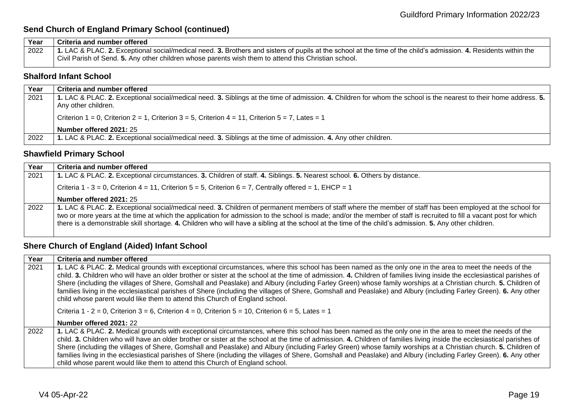## **Send Church of England Primary School (continued)**

| Year | Criteria and number offered                                                                                                                                      |
|------|------------------------------------------------------------------------------------------------------------------------------------------------------------------|
| 2022 | 1. LAC & PLAC. 2. Exceptional social/medical need. 3. Brothers and sisters of pupils at the school at the time of the child's admission. 4. Residents within the |
|      | Civil Parish of Send. 5. Any other children whose parents wish them to attend this Christian school.                                                             |

#### <span id="page-18-0"></span>**Shalford Infant School**

| Year | <b>Criteria and number offered</b>                                                                                                                                |
|------|-------------------------------------------------------------------------------------------------------------------------------------------------------------------|
|      |                                                                                                                                                                   |
| 2021 | 1. LAC & PLAC. 2. Exceptional social/medical need. 3. Siblings at the time of admission. 4. Children for whom the school is the nearest to their home address. 5. |
|      |                                                                                                                                                                   |
|      | Any other children.                                                                                                                                               |
|      |                                                                                                                                                                   |
|      | Criterion $1 = 0$ , Criterion $2 = 1$ , Criterion $3 = 5$ , Criterion $4 = 11$ , Criterion $5 = 7$ , Lates = 1                                                    |
|      |                                                                                                                                                                   |
|      | Number offered 2021: 25                                                                                                                                           |
|      |                                                                                                                                                                   |
| 2022 | 1. LAC & PLAC. 2. Exceptional social/medical need. 3. Siblings at the time of admission. 4. Any other children.                                                   |
|      |                                                                                                                                                                   |

#### <span id="page-18-1"></span>**Shawfield Primary School**

| Year | Criteria and number offered                                                                                                                                                                                                                                                                                                                                                                                                                                                                 |
|------|---------------------------------------------------------------------------------------------------------------------------------------------------------------------------------------------------------------------------------------------------------------------------------------------------------------------------------------------------------------------------------------------------------------------------------------------------------------------------------------------|
| 2021 | 1. LAC & PLAC. 2. Exceptional circumstances. 3. Children of staff. 4. Siblings. 5. Nearest school. 6. Others by distance.                                                                                                                                                                                                                                                                                                                                                                   |
|      | Criteria 1 - 3 = 0, Criterion 4 = 11, Criterion 5 = 5, Criterion 6 = 7, Centrally offered = 1, EHCP = 1                                                                                                                                                                                                                                                                                                                                                                                     |
|      | Number offered 2021: 25                                                                                                                                                                                                                                                                                                                                                                                                                                                                     |
| 2022 | 1. LAC & PLAC. 2. Exceptional social/medical need. 3. Children of permanent members of staff where the member of staff has been employed at the school for<br>two or more years at the time at which the application for admission to the school is made; and/or the member of staff is recruited to fill a vacant post for which<br>there is a demonstrable skill shortage. 4. Children who will have a sibling at the school at the time of the child's admission. 5. Any other children. |

## <span id="page-18-2"></span>**Shere Church of England (Aided) Infant School**

| Year | Criteria and number offered                                                                                                                                                                                                                                                                                                                                                                                                                                                                                                                                                                                                                                                                                                                                |
|------|------------------------------------------------------------------------------------------------------------------------------------------------------------------------------------------------------------------------------------------------------------------------------------------------------------------------------------------------------------------------------------------------------------------------------------------------------------------------------------------------------------------------------------------------------------------------------------------------------------------------------------------------------------------------------------------------------------------------------------------------------------|
| 2021 | 1. LAC & PLAC. 2. Medical grounds with exceptional circumstances, where this school has been named as the only one in the area to meet the needs of the<br>child. 3. Children who will have an older brother or sister at the school at the time of admission. 4. Children of families living inside the ecclesiastical parishes of<br>Shere (including the villages of Shere, Gomshall and Peaslake) and Albury (including Farley Green) whose family worships at a Christian church. 5. Children of<br>families living in the ecclesiastical parishes of Shere (including the villages of Shere, Gomshall and Peaslake) and Albury (including Farley Green). 6. Any other<br>child whose parent would like them to attend this Church of England school. |
|      | Criteria 1 - 2 = 0, Criterion 3 = 6, Criterion 4 = 0, Criterion 5 = 10, Criterion 6 = 5, Lates = 1                                                                                                                                                                                                                                                                                                                                                                                                                                                                                                                                                                                                                                                         |
|      | Number offered 2021: 22                                                                                                                                                                                                                                                                                                                                                                                                                                                                                                                                                                                                                                                                                                                                    |
| 2022 | 1. LAC & PLAC. 2. Medical grounds with exceptional circumstances, where this school has been named as the only one in the area to meet the needs of the<br>child. 3. Children who will have an older brother or sister at the school at the time of admission. 4. Children of families living inside the ecclesiastical parishes of<br>Shere (including the villages of Shere, Gomshall and Peaslake) and Albury (including Farley Green) whose family worships at a Christian church. 5. Children of<br>families living in the ecclesiastical parishes of Shere (including the villages of Shere, Gomshall and Peaslake) and Albury (including Farley Green). 6. Any other<br>child whose parent would like them to attend this Church of England school. |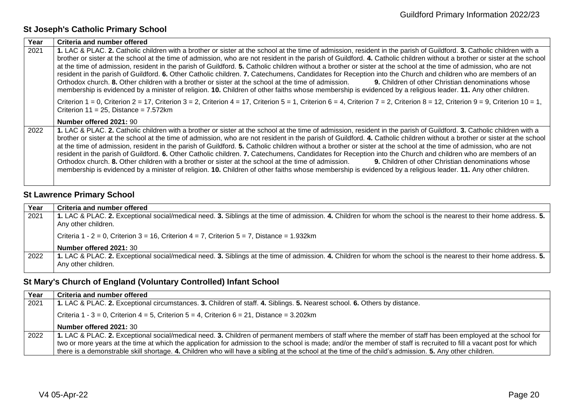## <span id="page-19-0"></span>**St Joseph's Catholic Primary School**

| Year | Criteria and number offered                                                                                                                                                                                                                                                                                                                                                                                                                                                                                                                                                                                                                                                                                                                                                                                                                                                                                                                                                                                            |
|------|------------------------------------------------------------------------------------------------------------------------------------------------------------------------------------------------------------------------------------------------------------------------------------------------------------------------------------------------------------------------------------------------------------------------------------------------------------------------------------------------------------------------------------------------------------------------------------------------------------------------------------------------------------------------------------------------------------------------------------------------------------------------------------------------------------------------------------------------------------------------------------------------------------------------------------------------------------------------------------------------------------------------|
| 2021 | 1. LAC & PLAC. 2. Catholic children with a brother or sister at the school at the time of admission, resident in the parish of Guildford. 3. Catholic children with a<br>brother or sister at the school at the time of admission, who are not resident in the parish of Guildford. 4. Catholic children without a brother or sister at the school<br>at the time of admission, resident in the parish of Guildford. 5. Catholic children without a brother or sister at the school at the time of admission, who are not<br>resident in the parish of Guildford. 6. Other Catholic children. 7. Catechumens, Candidates for Reception into the Church and children who are members of an<br>Orthodox church. 8. Other children with a brother or sister at the school at the time of admission. 9. Children of other Christian denominations whose<br>membership is evidenced by a minister of religion. 10. Children of other faiths whose membership is evidenced by a religious leader. 11. Any other children.    |
|      | Criterion $1 = 0$ , Criterion $2 = 17$ , Criterion $3 = 2$ , Criterion $4 = 17$ , Criterion $5 = 1$ , Criterion $6 = 4$ , Criterion $7 = 2$ , Criterion $8 = 12$ , Criterion $9 = 9$ , Criterion $10 = 1$ ,<br>Criterion $11 = 25$ , Distance = 7.572km<br>Number offered 2021: 90                                                                                                                                                                                                                                                                                                                                                                                                                                                                                                                                                                                                                                                                                                                                     |
| 2022 | 1. LAC & PLAC. 2. Catholic children with a brother or sister at the school at the time of admission, resident in the parish of Guildford. 3. Catholic children with a<br>brother or sister at the school at the time of admission, who are not resident in the parish of Guildford. 4. Catholic children without a brother or sister at the school<br>at the time of admission, resident in the parish of Guildford. 5. Catholic children without a brother or sister at the school at the time of admission, who are not<br>resident in the parish of Guildford. 6. Other Catholic children. 7. Catechumens, Candidates for Reception into the Church and children who are members of an<br>Orthodox church. 8. Other children with a brother or sister at the school at the time of admission.<br>9. Children of other Christian denominations whose<br>membership is evidenced by a minister of religion. 10. Children of other faiths whose membership is evidenced by a religious leader. 11. Any other children. |

# <span id="page-19-1"></span>**St Lawrence Primary School**

| Year | Criteria and number offered                                                                                                                                                              |
|------|------------------------------------------------------------------------------------------------------------------------------------------------------------------------------------------|
| 2021 | 1. LAC & PLAC. 2. Exceptional social/medical need. 3. Siblings at the time of admission. 4. Children for whom the school is the nearest to their home address. 5.<br>Any other children. |
|      | Criteria 1 - 2 = 0, Criterion 3 = 16, Criterion 4 = 7, Criterion 5 = 7, Distance = 1.932km                                                                                               |
|      | Number offered 2021: 30                                                                                                                                                                  |
| 2022 | 1. LAC & PLAC. 2. Exceptional social/medical need. 3. Siblings at the time of admission. 4. Children for whom the school is the nearest to their home address. 5.<br>Any other children. |

# <span id="page-19-2"></span>**St Mary's Church of England (Voluntary Controlled) Infant School**

<span id="page-19-3"></span>

| Year | Criteria and number offered                                                                                                                                         |
|------|---------------------------------------------------------------------------------------------------------------------------------------------------------------------|
| 2021 | 1. LAC & PLAC. 2. Exceptional circumstances. 3. Children of staff. 4. Siblings. 5. Nearest school. 6. Others by distance.                                           |
|      | Criteria 1 - 3 = 0, Criterion 4 = 5, Criterion 5 = 4, Criterion 6 = 21, Distance = $3.202$ km                                                                       |
|      | Number offered 2021: 30                                                                                                                                             |
| 2022 | 1. LAC & PLAC. 2. Exceptional social/medical need. 3. Children of permanent members of staff where the member of staff has been employed at the school for          |
|      | two or more years at the time at which the application for admission to the school is made; and/or the member of staff is recruited to fill a vacant post for which |
|      | there is a demonstrable skill shortage. 4. Children who will have a sibling at the school at the time of the child's admission. 5. Any other children.              |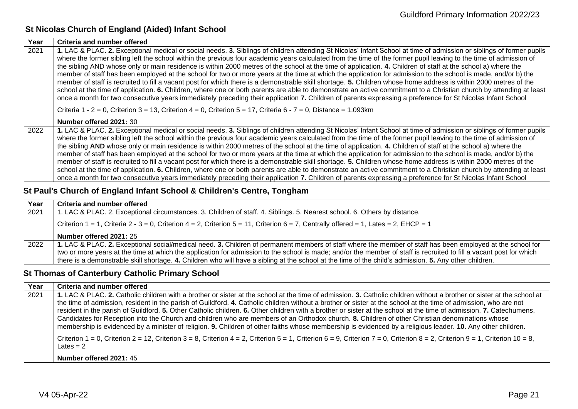#### **St Nicolas Church of England (Aided) Infant School**

| Year | Criteria and number offered                                                                                                                                                                                                                                                                                                                                                                                                                                                                                                                                                                                                                                                                                                                                                                                                                                                                                                                                                                                                                                                                                                                                                        |
|------|------------------------------------------------------------------------------------------------------------------------------------------------------------------------------------------------------------------------------------------------------------------------------------------------------------------------------------------------------------------------------------------------------------------------------------------------------------------------------------------------------------------------------------------------------------------------------------------------------------------------------------------------------------------------------------------------------------------------------------------------------------------------------------------------------------------------------------------------------------------------------------------------------------------------------------------------------------------------------------------------------------------------------------------------------------------------------------------------------------------------------------------------------------------------------------|
| 2021 | 1. LAC & PLAC. 2. Exceptional medical or social needs. 3. Siblings of children attending St Nicolas' Infant School at time of admission or siblings of former pupils<br>where the former sibling left the school within the previous four academic years calculated from the time of the former pupil leaving to the time of admission of<br>the sibling AND whose only or main residence is within 2000 metres of the school at the time of application. 4. Children of staff at the school a) where the<br>member of staff has been employed at the school for two or more years at the time at which the application for admission to the school is made, and/or b) the<br>member of staff is recruited to fill a vacant post for which there is a demonstrable skill shortage. 5. Children whose home address is within 2000 metres of the<br>school at the time of application. 6. Children, where one or both parents are able to demonstrate an active commitment to a Christian church by attending at least<br>once a month for two consecutive years immediately preceding their application 7. Children of parents expressing a preference for St Nicolas Infant School |
|      | Criteria 1 - 2 = 0, Criterion 3 = 13, Criterion 4 = 0, Criterion 5 = 17, Criteria 6 - 7 = 0, Distance = 1.093km                                                                                                                                                                                                                                                                                                                                                                                                                                                                                                                                                                                                                                                                                                                                                                                                                                                                                                                                                                                                                                                                    |
|      | Number offered 2021: 30                                                                                                                                                                                                                                                                                                                                                                                                                                                                                                                                                                                                                                                                                                                                                                                                                                                                                                                                                                                                                                                                                                                                                            |
| 2022 | 1. LAC & PLAC. 2. Exceptional medical or social needs. 3. Siblings of children attending St Nicolas' Infant School at time of admission or siblings of former pupils<br>where the former sibling left the school within the previous four academic years calculated from the time of the former pupil leaving to the time of admission of<br>the sibling AND whose only or main residence is within 2000 metres of the school at the time of application. 4. Children of staff at the school a) where the<br>member of staff has been employed at the school for two or more years at the time at which the application for admission to the school is made, and/or b) the<br>member of staff is recruited to fill a vacant post for which there is a demonstrable skill shortage. 5. Children whose home address is within 2000 metres of the<br>school at the time of application. 6. Children, where one or both parents are able to demonstrate an active commitment to a Christian church by attending at least<br>once a month for two consecutive years immediately preceding their application 7. Children of parents expressing a preference for St Nicolas Infant School |

#### <span id="page-20-0"></span>**St Paul's Church of England Infant School & Children's Centre, Tongham**

| Year | Criteria and number offered                                                                                                                                         |
|------|---------------------------------------------------------------------------------------------------------------------------------------------------------------------|
| 2021 | 1. LAC & PLAC. 2. Exceptional circumstances. 3. Children of staff. 4. Siblings. 5. Nearest school. 6. Others by distance.                                           |
|      | Criterion $1 = 1$ , Criteria $2 - 3 = 0$ , Criterion $4 = 2$ , Criterion $5 = 11$ , Criterion $6 = 7$ , Centrally offered = 1, Lates = 2, EHCP = 1                  |
|      | Number offered 2021: 25                                                                                                                                             |
| 2022 | 1. LAC & PLAC. 2. Exceptional social/medical need. 3. Children of permanent members of staff where the member of staff has been employed at the school for          |
|      | two or more years at the time at which the application for admission to the school is made; and/or the member of staff is recruited to fill a vacant post for which |
|      | there is a demonstrable skill shortage. 4. Children who will have a sibling at the school at the time of the child's admission. 5. Any other children.              |

#### <span id="page-20-1"></span>**St Thomas of Canterbury Catholic Primary School**

| Year | Criteria and number offered                                                                                                                                                                                                                                                                                                                                                                                                                                                                                                                                                                                                                                                                                                                                                                                                         |
|------|-------------------------------------------------------------------------------------------------------------------------------------------------------------------------------------------------------------------------------------------------------------------------------------------------------------------------------------------------------------------------------------------------------------------------------------------------------------------------------------------------------------------------------------------------------------------------------------------------------------------------------------------------------------------------------------------------------------------------------------------------------------------------------------------------------------------------------------|
| 2021 | 1. LAC & PLAC. 2. Catholic children with a brother or sister at the school at the time of admission. 3. Catholic children without a brother or sister at the school at<br>the time of admission, resident in the parish of Guildford. 4. Catholic children without a brother or sister at the school at the time of admission, who are not<br>resident in the parish of Guildford. 5. Other Catholic children. 6. Other children with a brother or sister at the school at the time of admission. 7. Catechumens,<br>Candidates for Reception into the Church and children who are members of an Orthodox church. 8. Children of other Christian denominations whose<br>membership is evidenced by a minister of religion. 9. Children of other faiths whose membership is evidenced by a religious leader. 10. Any other children. |
|      | Criterion $1 = 0$ , Criterion $2 = 12$ , Criterion $3 = 8$ , Criterion $4 = 2$ , Criterion $5 = 1$ , Criterion $6 = 9$ , Criterion $7 = 0$ , Criterion $8 = 2$ , Criterion $9 = 1$ , Criterion $10 = 8$ ,<br>Lates $= 2$<br>Number offered 2021: 45                                                                                                                                                                                                                                                                                                                                                                                                                                                                                                                                                                                 |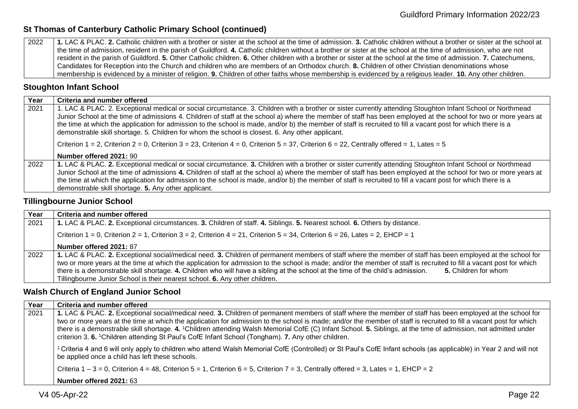#### **St Thomas of Canterbury Catholic Primary School (continued)**

2022 **1.** LAC & PLAC. **2.** Catholic children with a brother or sister at the school at the time of admission. **3.** Catholic children without a brother or sister at the school at the time of admission, resident in the parish of Guildford. **4.** Catholic children without a brother or sister at the school at the time of admission, who are not resident in the parish of Guildford. **5.** Other Catholic children. **6.** Other children with a brother or sister at the school at the time of admission. **7.** Catechumens, Candidates for Reception into the Church and children who are members of an Orthodox church. **8.** Children of other Christian denominations whose membership is evidenced by a minister of religion. **9.** Children of other faiths whose membership is evidenced by a religious leader. **10.** Any other children.

#### <span id="page-21-0"></span>**Stoughton Infant School**

| Year | Criteria and number offered                                                                                                                                                                                                                                                                                                                                                                                                                                                                                                                                                                         |
|------|-----------------------------------------------------------------------------------------------------------------------------------------------------------------------------------------------------------------------------------------------------------------------------------------------------------------------------------------------------------------------------------------------------------------------------------------------------------------------------------------------------------------------------------------------------------------------------------------------------|
| 2021 | 1. LAC & PLAC. 2. Exceptional medical or social circumstance. 3. Children with a brother or sister currently attending Stoughton Infant School or Northmead<br>Junior School at the time of admissions 4. Children of staff at the school a) where the member of staff has been employed at the school for two or more years at<br>the time at which the application for admission to the school is made, and/or b) the member of staff is recruited to fill a vacant post for which there is a<br>demonstrable skill shortage. 5. Children for whom the school is closest. 6. Any other applicant. |
|      | Criterion 1 = 2, Criterion 2 = 0, Criterion 3 = 23, Criterion 4 = 0, Criterion 5 = 37, Criterion 6 = 22, Centrally offered = 1, Lates = 5                                                                                                                                                                                                                                                                                                                                                                                                                                                           |
|      | Number offered 2021: 90                                                                                                                                                                                                                                                                                                                                                                                                                                                                                                                                                                             |
| 2022 | 1. LAC & PLAC. 2. Exceptional medical or social circumstance. 3. Children with a brother or sister currently attending Stoughton Infant School or Northmead<br>Junior School at the time of admissions 4. Children of staff at the school a) where the member of staff has been employed at the school for two or more years at<br>the time at which the application for admission to the school is made, and/or b) the member of staff is recruited to fill a vacant post for which there is a<br>demonstrable skill shortage. 5. Any other applicant.                                             |

#### <span id="page-21-1"></span>**Tillingbourne Junior School**

| Year | Criteria and number offered                                                                                                                                                                                                                                                                                                                                                                                                                                                                                                                                                 |
|------|-----------------------------------------------------------------------------------------------------------------------------------------------------------------------------------------------------------------------------------------------------------------------------------------------------------------------------------------------------------------------------------------------------------------------------------------------------------------------------------------------------------------------------------------------------------------------------|
| 2021 | 1. LAC & PLAC. 2. Exceptional circumstances. 3. Children of staff. 4. Siblings. 5. Nearest school. 6. Others by distance.                                                                                                                                                                                                                                                                                                                                                                                                                                                   |
|      | Criterion 1 = 0, Criterion 2 = 1, Criterion 3 = 2, Criterion 4 = 21, Criterion 5 = 34, Criterion 6 = 26, Lates = 2, EHCP = 1                                                                                                                                                                                                                                                                                                                                                                                                                                                |
|      | Number offered 2021: 87                                                                                                                                                                                                                                                                                                                                                                                                                                                                                                                                                     |
| 2022 | 1. LAC & PLAC. 2. Exceptional social/medical need. 3. Children of permanent members of staff where the member of staff has been employed at the school for<br>two or more years at the time at which the application for admission to the school is made; and/or the member of staff is recruited to fill a vacant post for which<br>there is a demonstrable skill shortage. 4. Children who will have a sibling at the school at the time of the child's admission.<br>5. Children for whom<br>Tillingbourne Junior School is their nearest school. 6. Any other children. |

#### <span id="page-21-2"></span>**Walsh Church of England Junior School**

| Year | Criteria and number offered                                                                                                                                                                                                                                                                                                                                                                                                                                                                                                                                                                                                        |
|------|------------------------------------------------------------------------------------------------------------------------------------------------------------------------------------------------------------------------------------------------------------------------------------------------------------------------------------------------------------------------------------------------------------------------------------------------------------------------------------------------------------------------------------------------------------------------------------------------------------------------------------|
| 2021 | 1. LAC & PLAC. 2. Exceptional social/medical need. 3. Children of permanent members of staff where the member of staff has been employed at the school for<br>two or more years at the time at which the application for admission to the school is made; and/or the member of staff is recruited to fill a vacant post for which<br>there is a demonstrable skill shortage. 4. <sup>1</sup> Children attending Walsh Memorial CofE (C) Infant School. 5. Siblings, at the time of admission, not admitted under<br>criterion 3. 6. <sup>1</sup> Children attending St Paul's CofE Infant School (Tongham). 7. Any other children. |
|      | <sup>1</sup> Criteria 4 and 6 will only apply to children who attend Walsh Memorial CofE (Controlled) or St Paul's CofE Infant schools (as applicable) in Year 2 and will not<br>be applied once a child has left these schools.                                                                                                                                                                                                                                                                                                                                                                                                   |
|      | Criteria $1-3=0$ , Criterion $4=48$ , Criterion $5=1$ , Criterion $6=5$ , Criterion $7=3$ , Centrally offered = 3, Lates = 1, EHCP = 2                                                                                                                                                                                                                                                                                                                                                                                                                                                                                             |
|      | Number offered 2021: 63                                                                                                                                                                                                                                                                                                                                                                                                                                                                                                                                                                                                            |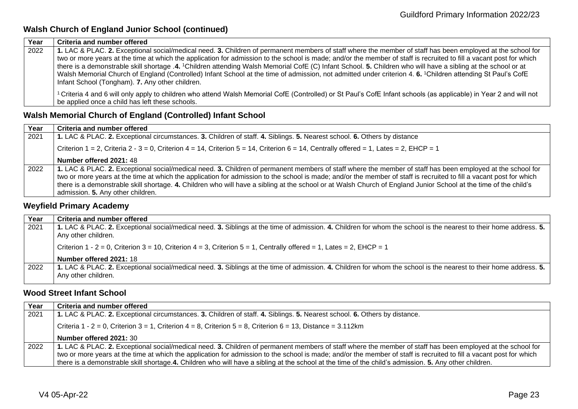#### **Walsh Church of England Junior School (continued)**

| Year | Criteria and number offered                                                                                                                                                                                           |
|------|-----------------------------------------------------------------------------------------------------------------------------------------------------------------------------------------------------------------------|
| 2022 | 1. LAC & PLAC. 2. Exceptional social/medical need. 3. Children of permanent members of staff where the member of staff has been employed at the school for                                                            |
|      | two or more years at the time at which the application for admission to the school is made; and/or the member of staff is recruited to fill a vacant post for which                                                   |
|      | there is a demonstrable skill shortage .4. <sup>1</sup> Children attending Walsh Memorial CofE (C) Infant School. 5. Children who will have a sibling at the school or at                                             |
|      | Walsh Memorial Church of England (Controlled) Infant School at the time of admission, not admitted under criterion 4. 6. <sup>1</sup> Children attending St Paul's CofE                                               |
|      | Infant School (Tongham). 7. Any other children.                                                                                                                                                                       |
|      | ' Criteria 4 and 6 will only apply to children who attend Walsh Memorial CofE (Controlled) or St Paul's CofE Infant schools (as applicable) in Year 2 and will not<br>be applied once a child has left these schools. |

#### <span id="page-22-0"></span>**Walsh Memorial Church of England (Controlled) Infant School**

| Year | Criteria and number offered                                                                                                                                                                                                                                                                                                                                                                                                                                                                                                                |
|------|--------------------------------------------------------------------------------------------------------------------------------------------------------------------------------------------------------------------------------------------------------------------------------------------------------------------------------------------------------------------------------------------------------------------------------------------------------------------------------------------------------------------------------------------|
| 2021 | 1. LAC & PLAC. 2. Exceptional circumstances. 3. Children of staff. 4. Siblings. 5. Nearest school. 6. Others by distance                                                                                                                                                                                                                                                                                                                                                                                                                   |
|      | Criterion $1 = 2$ , Criteria $2 - 3 = 0$ , Criterion $4 = 14$ , Criterion $5 = 14$ , Criterion $6 = 14$ , Centrally offered = 1, Lates = 2, EHCP = 1                                                                                                                                                                                                                                                                                                                                                                                       |
|      | Number offered 2021: 48                                                                                                                                                                                                                                                                                                                                                                                                                                                                                                                    |
| 2022 | 1. LAC & PLAC. 2. Exceptional social/medical need. 3. Children of permanent members of staff where the member of staff has been employed at the school for<br>two or more years at the time at which the application for admission to the school is made; and/or the member of staff is recruited to fill a vacant post for which<br>there is a demonstrable skill shortage. 4. Children who will have a sibling at the school or at Walsh Church of England Junior School at the time of the child's<br>admission. 5. Any other children. |

#### <span id="page-22-1"></span>**Weyfield Primary Academy**

| Year | Criteria and number offered                                                                                                                                                              |
|------|------------------------------------------------------------------------------------------------------------------------------------------------------------------------------------------|
| 2021 | 1. LAC & PLAC. 2. Exceptional social/medical need. 3. Siblings at the time of admission. 4. Children for whom the school is the nearest to their home address. 5.<br>Any other children. |
|      | Criterion 1 - 2 = 0, Criterion 3 = 10, Criterion 4 = 3, Criterion 5 = 1, Centrally offered = 1, Lates = 2, EHCP = 1                                                                      |
|      | Number offered 2021: 18                                                                                                                                                                  |
| 2022 | 1. LAC & PLAC. 2. Exceptional social/medical need. 3. Siblings at the time of admission. 4. Children for whom the school is the nearest to their home address. 5.                        |
|      | Any other children.                                                                                                                                                                      |

#### <span id="page-22-2"></span>**Wood Street Infant School**

| Year | Criteria and number offered                                                                                                                                         |
|------|---------------------------------------------------------------------------------------------------------------------------------------------------------------------|
| 2021 | 1. LAC & PLAC. 2. Exceptional circumstances. 3. Children of staff. 4. Siblings. 5. Nearest school. 6. Others by distance.                                           |
|      | Criteria 1 - 2 = 0, Criterion 3 = 1, Criterion 4 = 8, Criterion 5 = 8, Criterion 6 = 13, Distance = 3.112km                                                         |
|      | Number offered 2021: 30                                                                                                                                             |
| 2022 | 1. LAC & PLAC. 2. Exceptional social/medical need. 3. Children of permanent members of staff where the member of staff has been employed at the school for          |
|      | two or more years at the time at which the application for admission to the school is made; and/or the member of staff is recruited to fill a vacant post for which |
|      | there is a demonstrable skill shortage.4. Children who will have a sibling at the school at the time of the child's admission. 5. Any other children.               |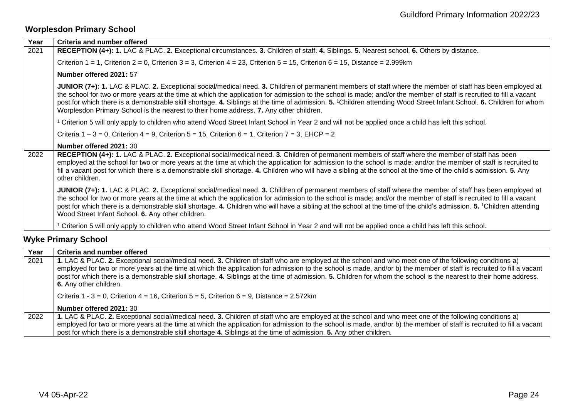# <span id="page-23-0"></span>**Worplesdon Primary School**

| RECEPTION (4+): 1. LAC & PLAC. 2. Exceptional circumstances. 3. Children of staff. 4. Siblings. 5. Nearest school. 6. Others by distance.<br>2021<br>Criterion $1 = 1$ , Criterion $2 = 0$ , Criterion $3 = 3$ , Criterion $4 = 23$ , Criterion $5 = 15$ , Criterion $6 = 15$ , Distance = 2.999km                                                                                                                                                                                                                                                                                               |  |
|--------------------------------------------------------------------------------------------------------------------------------------------------------------------------------------------------------------------------------------------------------------------------------------------------------------------------------------------------------------------------------------------------------------------------------------------------------------------------------------------------------------------------------------------------------------------------------------------------|--|
|                                                                                                                                                                                                                                                                                                                                                                                                                                                                                                                                                                                                  |  |
|                                                                                                                                                                                                                                                                                                                                                                                                                                                                                                                                                                                                  |  |
| Number offered 2021: 57                                                                                                                                                                                                                                                                                                                                                                                                                                                                                                                                                                          |  |
| JUNIOR (7+): 1. LAC & PLAC. 2. Exceptional social/medical need. 3. Children of permanent members of staff where the member of staff has been employed at<br>the school for two or more years at the time at which the application for admission to the school is made; and/or the member of staff is recruited to fill a vacant<br>post for which there is a demonstrable skill shortage. 4. Siblings at the time of admission. 5. 1Children attending Wood Street Infant School. 6. Children for whom<br>Worplesdon Primary School is the nearest to their home address. 7. Any other children. |  |
| <sup>1</sup> Criterion 5 will only apply to children who attend Wood Street Infant School in Year 2 and will not be applied once a child has left this school.                                                                                                                                                                                                                                                                                                                                                                                                                                   |  |
| Criteria $1 - 3 = 0$ , Criterion $4 = 9$ , Criterion $5 = 15$ , Criterion $6 = 1$ , Criterion $7 = 3$ , EHCP = 2                                                                                                                                                                                                                                                                                                                                                                                                                                                                                 |  |
| Number offered 2021: 30                                                                                                                                                                                                                                                                                                                                                                                                                                                                                                                                                                          |  |
| RECEPTION (4+): 1. LAC & PLAC. 2. Exceptional social/medical need. 3. Children of permanent members of staff where the member of staff has been<br>2022<br>employed at the school for two or more years at the time at which the application for admission to the school is made; and/or the member of staff is recruited to<br>fill a vacant post for which there is a demonstrable skill shortage. 4. Children who will have a sibling at the school at the time of the child's admission. 5. Any<br>other children.                                                                           |  |
| JUNIOR (7+): 1. LAC & PLAC. 2. Exceptional social/medical need. 3. Children of permanent members of staff where the member of staff has been employed at<br>the school for two or more years at the time at which the application for admission to the school is made; and/or the member of staff is recruited to fill a vacant<br>post for which there is a demonstrable skill shortage. 4. Children who will have a sibling at the school at the time of the child's admission. 5. <sup>1</sup> Children attending<br>Wood Street Infant School. 6. Any other children.                        |  |
| Criterion 5 will only apply to children who attend Wood Street Infant School in Year 2 and will not be applied once a child has left this school.                                                                                                                                                                                                                                                                                                                                                                                                                                                |  |

# <span id="page-23-1"></span>**Wyke Primary School**

| Year | Criteria and number offered                                                                                                                                                                                                                                                                                                                                                                                                                                                                                                    |
|------|--------------------------------------------------------------------------------------------------------------------------------------------------------------------------------------------------------------------------------------------------------------------------------------------------------------------------------------------------------------------------------------------------------------------------------------------------------------------------------------------------------------------------------|
| 2021 | 1. LAC & PLAC. 2. Exceptional social/medical need. 3. Children of staff who are employed at the school and who meet one of the following conditions a)<br>employed for two or more years at the time at which the application for admission to the school is made, and/or b) the member of staff is recruited to fill a vacant<br>post for which there is a demonstrable skill shortage. 4. Siblings at the time of admission. 5. Children for whom the school is the nearest to their home address.<br>6. Any other children. |
|      | Criteria 1 - 3 = 0, Criterion 4 = 16, Criterion 5 = 5, Criterion 6 = 9, Distance = $2.572 \text{km}$                                                                                                                                                                                                                                                                                                                                                                                                                           |
|      | Number offered 2021: 30                                                                                                                                                                                                                                                                                                                                                                                                                                                                                                        |
| 2022 | 1. LAC & PLAC. 2. Exceptional social/medical need. 3. Children of staff who are employed at the school and who meet one of the following conditions a)                                                                                                                                                                                                                                                                                                                                                                         |
|      | employed for two or more years at the time at which the application for admission to the school is made, and/or b) the member of staff is recruited to fill a vacant                                                                                                                                                                                                                                                                                                                                                           |
|      | post for which there is a demonstrable skill shortage 4. Siblings at the time of admission. 5. Any other children.                                                                                                                                                                                                                                                                                                                                                                                                             |